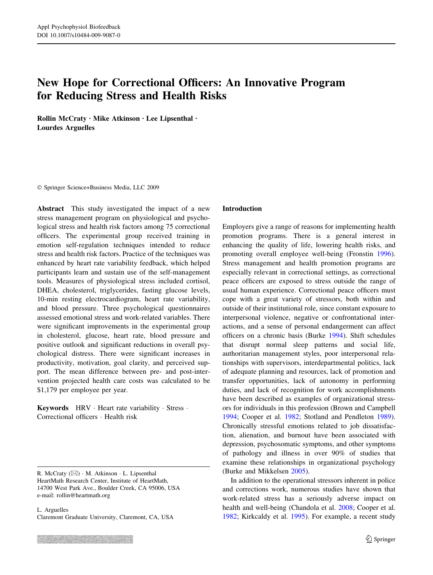# New Hope for Correctional Officers: An Innovative Program for Reducing Stress and Health Risks

Rollin McCraty  $\cdot$  Mike Atkinson  $\cdot$  Lee Lipsenthal  $\cdot$ Lourdes Arguelles

Springer Science+Business Media, LLC 2009

Abstract This study investigated the impact of a new stress management program on physiological and psychological stress and health risk factors among 75 correctional officers. The experimental group received training in emotion self-regulation techniques intended to reduce stress and health risk factors. Practice of the techniques was enhanced by heart rate variability feedback, which helped participants learn and sustain use of the self-management tools. Measures of physiological stress included cortisol, DHEA, cholesterol, triglycerides, fasting glucose levels, 10-min resting electrocardiogram, heart rate variability, and blood pressure. Three psychological questionnaires assessed emotional stress and work-related variables. There were significant improvements in the experimental group in cholesterol, glucose, heart rate, blood pressure and positive outlook and significant reductions in overall psychological distress. There were significant increases in productivity, motivation, goal clarity, and perceived support. The mean difference between pre- and post-intervention projected health care costs was calculated to be \$1,179 per employee per year.

Keywords  $HRV \cdot$  Heart rate variability  $\cdot$  Stress  $\cdot$ Correctional officers · Health risk

L. Arguelles Claremont Graduate University, Claremont, CA, USA

#### Introduction

Employers give a range of reasons for implementing health promotion programs. There is a general interest in enhancing the quality of life, lowering health risks, and promoting overall employee well-being (Fronstin [1996](#page-20-0)). Stress management and health promotion programs are especially relevant in correctional settings, as correctional peace officers are exposed to stress outside the range of usual human experience. Correctional peace officers must cope with a great variety of stressors, both within and outside of their institutional role, since constant exposure to interpersonal violence, negative or confrontational interactions, and a sense of personal endangerment can affect officers on a chronic basis (Burke [1994](#page-19-0)). Shift schedules that disrupt normal sleep patterns and social life, authoritarian management styles, poor interpersonal relationships with supervisors, interdepartmental politics, lack of adequate planning and resources, lack of promotion and transfer opportunities, lack of autonomy in performing duties, and lack of recognition for work accomplishments have been described as examples of organizational stressors for individuals in this profession (Brown and Campbell [1994](#page-19-0); Cooper et al. [1982;](#page-20-0) Stotland and Pendleton [1989](#page-21-0)). Chronically stressful emotions related to job dissatisfaction, alienation, and burnout have been associated with depression, psychosomatic symptoms, and other symptoms of pathology and illness in over 90% of studies that examine these relationships in organizational psychology (Burke and Mikkelsen [2005](#page-19-0)).

In addition to the operational stressors inherent in police and corrections work, numerous studies have shown that work-related stress has a seriously adverse impact on health and well-being (Chandola et al. [2008;](#page-19-0) Cooper et al. [1982](#page-20-0); Kirkcaldy et al. [1995\)](#page-20-0). For example, a recent study

R. McCraty  $(\boxtimes)$   $\cdot$  M. Atkinson  $\cdot$  L. Lipsenthal HeartMath Research Center, Institute of HeartMath, 14700 West Park Ave., Boulder Creek, CA 95006, USA e-mail: rollin@heartmath.org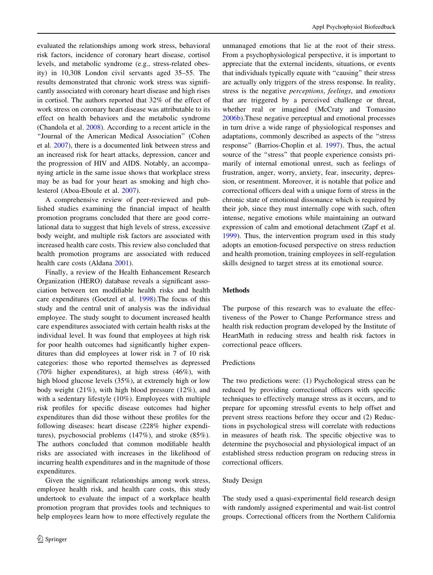evaluated the relationships among work stress, behavioral risk factors, incidence of coronary heart disease, cortisol levels, and metabolic syndrome (e.g., stress-related obesity) in 10,308 London civil servants aged 35–55. The results demonstrated that chronic work stress was significantly associated with coronary heart disease and high rises in cortisol. The authors reported that 32% of the effect of work stress on coronary heart disease was attributable to its effect on health behaviors and the metabolic syndrome (Chandola et al. [2008\)](#page-19-0). According to a recent article in the ''Journal of the American Medical Association'' (Cohen et al. [2007\)](#page-20-0), there is a documented link between stress and an increased risk for heart attacks, depression, cancer and the progression of HIV and AIDS. Notably, an accompanying article in the same issue shows that workplace stress may be as bad for your heart as smoking and high cholesterol (Aboa-Eboule et al. [2007\)](#page-19-0).

A comprehensive review of peer-reviewed and published studies examining the financial impact of health promotion programs concluded that there are good correlational data to suggest that high levels of stress, excessive body weight, and multiple risk factors are associated with increased health care costs. This review also concluded that health promotion programs are associated with reduced health care costs (Aldana [2001\)](#page-19-0).

Finally, a review of the Health Enhancement Research Organization (HERO) database reveals a significant association between ten modifiable health risks and health care expenditures (Goetzel et al. [1998](#page-20-0)).The focus of this study and the central unit of analysis was the individual employee. The study sought to document increased health care expenditures associated with certain health risks at the individual level. It was found that employees at high risk for poor health outcomes had significantly higher expenditures than did employees at lower risk in 7 of 10 risk categories: those who reported themselves as depressed (70% higher expenditures), at high stress (46%), with high blood glucose levels (35%), at extremely high or low body weight (21%), with high blood pressure (12%), and with a sedentary lifestyle (10%). Employees with multiple risk profiles for specific disease outcomes had higher expenditures than did those without these profiles for the following diseases: heart disease (228% higher expenditures), psychosocial problems (147%), and stroke (85%). The authors concluded that common modifiable health risks are associated with increases in the likelihood of incurring health expenditures and in the magnitude of those expenditures.

Given the significant relationships among work stress, employee health risk, and health care costs, this study undertook to evaluate the impact of a workplace health promotion program that provides tools and techniques to help employees learn how to more effectively regulate the

unmanaged emotions that lie at the root of their stress. From a psychophysiological perspective, it is important to appreciate that the external incidents, situations, or events that individuals typically equate with ''causing'' their stress are actually only triggers of the stress response. In reality, stress is the negative perceptions, feelings, and emotions that are triggered by a perceived challenge or threat, whether real or imagined (McCraty and Tomasino [2006b](#page-20-0)).These negative perceptual and emotional processes in turn drive a wide range of physiological responses and adaptations, commonly described as aspects of the ''stress response'' (Barrios-Choplin et al. [1997\)](#page-19-0). Thus, the actual source of the ''stress'' that people experience consists primarily of internal emotional unrest, such as feelings of frustration, anger, worry, anxiety, fear, insecurity, depression, or resentment. Moreover, it is notable that police and correctional officers deal with a unique form of stress in the chronic state of emotional dissonance which is required by their job, since they must internally cope with such, often intense, negative emotions while maintaining an outward expression of calm and emotional detachment (Zapf et al. [1999](#page-21-0)). Thus, the intervention program used in this study adopts an emotion-focused perspective on stress reduction and health promotion, training employees in self-regulation skills designed to target stress at its emotional source.

# Methods

The purpose of this research was to evaluate the effectiveness of the Power to Change Performance stress and health risk reduction program developed by the Institute of HeartMath in reducing stress and health risk factors in correctional peace officers.

### Predictions

The two predictions were: (1) Psychological stress can be reduced by providing correctional officers with specific techniques to effectively manage stress as it occurs, and to prepare for upcoming stressful events to help offset and prevent stress reactions before they occur and (2) Reductions in psychological stress will correlate with reductions in measures of heath risk. The specific objective was to determine the psychosocial and physiological impact of an established stress reduction program on reducing stress in correctional officers.

### Study Design

The study used a quasi-experimental field research design with randomly assigned experimental and wait-list control groups. Correctional officers from the Northern California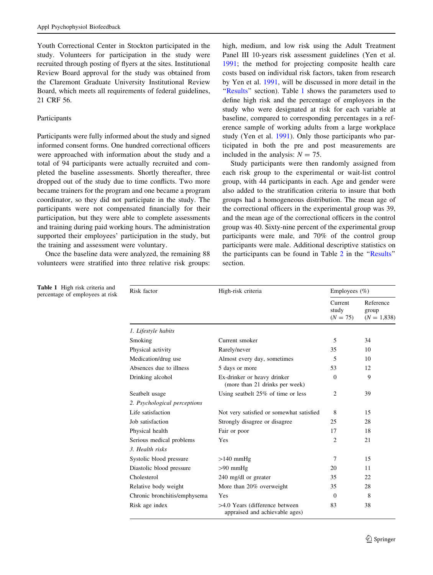<span id="page-2-0"></span>Youth Correctional Center in Stockton participated in the study. Volunteers for participation in the study were recruited through posting of flyers at the sites. Institutional Review Board approval for the study was obtained from the Claremont Graduate University Institutional Review Board, which meets all requirements of federal guidelines, 21 CRF 56.

# Participants

Participants were fully informed about the study and signed informed consent forms. One hundred correctional officers were approached with information about the study and a total of 94 participants were actually recruited and completed the baseline assessments. Shortly thereafter, three dropped out of the study due to time conflicts. Two more became trainers for the program and one became a program coordinator, so they did not participate in the study. The participants were not compensated financially for their participation, but they were able to complete assessments and training during paid working hours. The administration supported their employees' participation in the study, but the training and assessment were voluntary.

Once the baseline data were analyzed, the remaining 88 volunteers were stratified into three relative risk groups: high, medium, and low risk using the Adult Treatment Panel III 10-years risk assessment guidelines (Yen et al. [1991](#page-21-0); the method for projecting composite health care costs based on individual risk factors, taken from research by Yen et al. [1991](#page-21-0), will be discussed in more detail in the "[Results](#page-6-0)" section). Table 1 shows the parameters used to define high risk and the percentage of employees in the study who were designated at risk for each variable at baseline, compared to corresponding percentages in a reference sample of working adults from a large workplace study (Yen et al. [1991](#page-21-0)). Only those participants who participated in both the pre and post measurements are included in the analysis:  $N = 75$ .

Study participants were then randomly assigned from each risk group to the experimental or wait-list control group, with 44 participants in each. Age and gender were also added to the stratification criteria to insure that both groups had a homogeneous distribution. The mean age of the correctional officers in the experimental group was 39, and the mean age of the correctional officers in the control group was 40. Sixty-nine percent of the experimental group participants were male, and 70% of the control group participants were male. Additional descriptive statistics on the participants can be found in Table [2](#page-7-0) in the '['Results'](#page-6-0)' section.

| Risk factor                  | High-risk criteria                                               | Employees $(\% )$              |                                     |
|------------------------------|------------------------------------------------------------------|--------------------------------|-------------------------------------|
|                              |                                                                  | Current<br>study<br>$(N = 75)$ | Reference<br>group<br>$(N = 1,838)$ |
| 1. Lifestyle habits          |                                                                  |                                |                                     |
| Smoking                      | Current smoker                                                   | 5                              | 34                                  |
| Physical activity            | Rarely/never                                                     | 35                             | 10                                  |
| Medication/drug use          | Almost every day, sometimes                                      | 5                              | 10                                  |
| Absences due to illness      | 5 days or more                                                   | 53                             | 12.                                 |
| Drinking alcohol             | Ex-drinker or heavy drinker<br>(more than 21 drinks per week)    | $\Omega$                       | 9                                   |
| Seatbelt usage               | Using seatbelt $25\%$ of time or less                            | 2                              | 39                                  |
| 2. Psychological perceptions |                                                                  |                                |                                     |
| Life satisfaction            | Not very satisfied or somewhat satisfied                         | 8                              | 15                                  |
| Job satisfaction             | Strongly disagree or disagree                                    | 25                             | 28                                  |
| Physical health              | Fair or poor                                                     | 17                             | 18                                  |
| Serious medical problems     | Yes                                                              | $\overline{2}$                 | 21                                  |
| 3. Health risks              |                                                                  |                                |                                     |
| Systolic blood pressure      | $>140$ mmHg                                                      | 7                              | 15                                  |
| Diastolic blood pressure     | $>90$ mmHg                                                       | 20                             | 11                                  |
| Cholesterol                  | 240 mg/dl or greater                                             | 35                             | 22                                  |
| Relative body weight         | More than 20% overweight                                         | 35                             | 28                                  |
| Chronic bronchitis/emphysema | <b>Yes</b>                                                       | $\theta$                       | 8                                   |
| Risk age index               | >4.0 Years (difference between<br>appraised and achievable ages) | 83                             | 38                                  |

Table 1 High risk criteria and percentage of employees at risk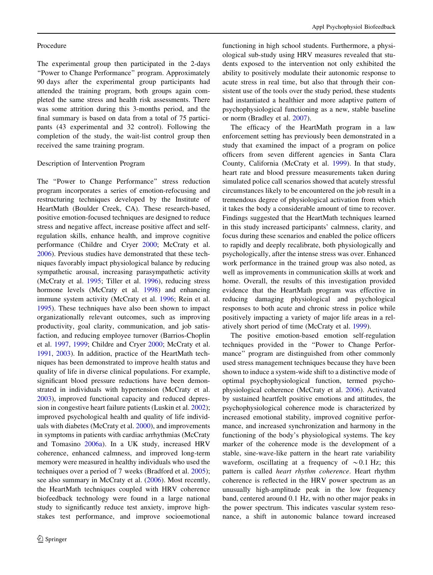#### Procedure

The experimental group then participated in the 2-days ''Power to Change Performance'' program. Approximately 90 days after the experimental group participants had attended the training program, both groups again completed the same stress and health risk assessments. There was some attrition during this 3-months period, and the final summary is based on data from a total of 75 participants (43 experimental and 32 control). Following the completion of the study, the wait-list control group then received the same training program.

### Description of Intervention Program

The ''Power to Change Performance'' stress reduction program incorporates a series of emotion-refocusing and restructuring techniques developed by the Institute of HeartMath (Boulder Creek, CA). These research-based, positive emotion-focused techniques are designed to reduce stress and negative affect, increase positive affect and selfregulation skills, enhance health, and improve cognitive performance (Childre and Cryer [2000;](#page-19-0) McCraty et al. [2006\)](#page-20-0). Previous studies have demonstrated that these techniques favorably impact physiological balance by reducing sympathetic arousal, increasing parasympathetic activity (McCraty et al. [1995](#page-20-0); Tiller et al. [1996\)](#page-21-0), reducing stress hormone levels (McCraty et al. [1998\)](#page-20-0) and enhancing immune system activity (McCraty et al. [1996](#page-20-0); Rein et al. [1995\)](#page-20-0). These techniques have also been shown to impact organizationally relevant outcomes, such as improving productivity, goal clarity, communication, and job satisfaction, and reducing employee turnover (Barrios-Choplin et al. [1997,](#page-19-0) [1999](#page-19-0); Childre and Cryer [2000;](#page-19-0) McCraty et al. [1991,](#page-20-0) [2003](#page-20-0)). In addition, practice of the HeartMath techniques has been demonstrated to improve health status and quality of life in diverse clinical populations. For example, significant blood pressure reductions have been demonstrated in individuals with hypertension (McCraty et al. [2003\)](#page-20-0), improved functional capacity and reduced depression in congestive heart failure patients (Luskin et al. [2002](#page-20-0)); improved psychological health and quality of life individuals with diabetes (McCraty et al. [2000](#page-20-0)), and improvements in symptoms in patients with cardiac arrhythmias (McCraty and Tomasino [2006a\)](#page-20-0). In a UK study, increased HRV coherence, enhanced calmness, and improved long-term memory were measured in healthy individuals who used the techniques over a period of 7 weeks (Bradford et al. [2005](#page-19-0)); see also summary in McCraty et al. ([2006\)](#page-20-0). Most recently, the HeartMath techniques coupled with HRV coherence biofeedback technology were found in a large national study to significantly reduce test anxiety, improve highstakes test performance, and improve socioemotional

functioning in high school students. Furthermore, a physiological sub-study using HRV measures revealed that students exposed to the intervention not only exhibited the ability to positively modulate their autonomic response to acute stress in real time, but also that through their consistent use of the tools over the study period, these students had instantiated a healthier and more adaptive pattern of psychophysiological functioning as a new, stable baseline or norm (Bradley et al. [2007\)](#page-19-0).

The efficacy of the HeartMath program in a law enforcement setting has previously been demonstrated in a study that examined the impact of a program on police officers from seven different agencies in Santa Clara County, California (McCraty et al. [1999](#page-20-0)). In that study, heart rate and blood pressure measurements taken during simulated police call scenarios showed that acutely stressful circumstances likely to be encountered on the job result in a tremendous degree of physiological activation from which it takes the body a considerable amount of time to recover. Findings suggested that the HeartMath techniques learned in this study increased participants' calmness, clarity, and focus during these scenarios and enabled the police officers to rapidly and deeply recalibrate, both physiologically and psychologically, after the intense stress was over. Enhanced work performance in the trained group was also noted, as well as improvements in communication skills at work and home. Overall, the results of this investigation provided evidence that the HeartMath program was effective in reducing damaging physiological and psychological responses to both acute and chronic stress in police while positively impacting a variety of major life areas in a relatively short period of time (McCraty et al. [1999](#page-20-0)).

The positive emotion-based emotion self-regulation techniques provided in the ''Power to Change Performance'' program are distinguished from other commonly used stress management techniques because they have been shown to induce a system-wide shift to a distinctive mode of optimal psychophysiological function, termed psychophysiological coherence (McCraty et al. [2006\)](#page-20-0). Activated by sustained heartfelt positive emotions and attitudes, the psychophysiological coherence mode is characterized by increased emotional stability, improved cognitive performance, and increased synchronization and harmony in the functioning of the body's physiological systems. The key marker of the coherence mode is the development of a stable, sine-wave-like pattern in the heart rate variability waveform, oscillating at a frequency of  $\sim 0.1$  Hz; this pattern is called heart rhythm coherence. Heart rhythm coherence is reflected in the HRV power spectrum as an unusually high-amplitude peak in the low frequency band, centered around 0.1 Hz, with no other major peaks in the power spectrum. This indicates vascular system resonance, a shift in autonomic balance toward increased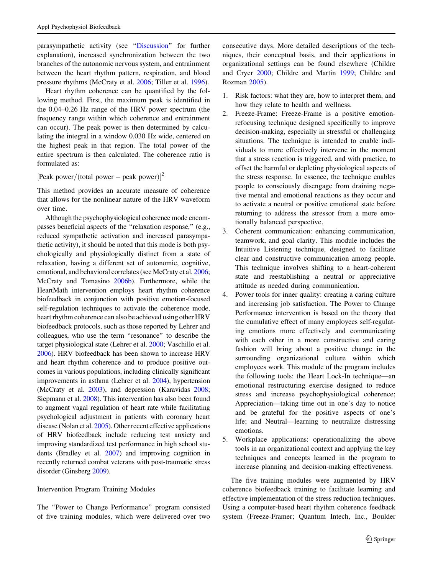parasympathetic activity (see ''[Discussion'](#page-15-0)' for further explanation), increased synchronization between the two branches of the autonomic nervous system, and entrainment between the heart rhythm pattern, respiration, and blood pressure rhythms (McCraty et al. [2006;](#page-20-0) Tiller et al. [1996](#page-21-0)).

Heart rhythm coherence can be quantified by the following method. First, the maximum peak is identified in the 0.04–0.26 Hz range of the HRV power spectrum (the frequency range within which coherence and entrainment can occur). The peak power is then determined by calculating the integral in a window 0.030 Hz wide, centered on the highest peak in that region. The total power of the entire spectrum is then calculated. The coherence ratio is formulated as:

[Peak power/(total power – peak power)]<sup>2</sup>

This method provides an accurate measure of coherence that allows for the nonlinear nature of the HRV waveform over time.

Although the psychophysiological coherence mode encompasses beneficial aspects of the ''relaxation response,'' (e.g., reduced sympathetic activation and increased parasympathetic activity), it should be noted that this mode is both psychologically and physiologically distinct from a state of relaxation, having a different set of autonomic, cognitive, emotional, and behavioral correlates (see McCraty et al. [2006](#page-20-0); McCraty and Tomasino [2006b](#page-20-0)). Furthermore, while the HeartMath intervention employs heart rhythm coherence biofeedback in conjunction with positive emotion-focused self-regulation techniques to activate the coherence mode, heart rhythm coherence can also be achieved using other HRV biofeedback protocols, such as those reported by Lehrer and colleagues, who use the term ''resonance'' to describe the target physiological state (Lehrer et al. [2000;](#page-20-0) Vaschillo et al. [2006\)](#page-21-0). HRV biofeedback has been shown to increase HRV and heart rhythm coherence and to produce positive outcomes in various populations, including clinically significant improvements in asthma (Lehrer et al. [2004](#page-20-0)), hypertension (McCraty et al. [2003](#page-20-0)), and depression (Karavidas [2008](#page-20-0); Siepmann et al. [2008\)](#page-20-0). This intervention has also been found to augment vagal regulation of heart rate while facilitating psychological adjustment in patients with coronary heart disease (Nolan et al. [2005](#page-20-0)). Other recent effective applications of HRV biofeedback include reducing test anxiety and improving standardized test performance in high school students (Bradley et al. [2007](#page-19-0)) and improving cognition in recently returned combat veterans with post-traumatic stress disorder (Ginsberg [2009\)](#page-20-0).

### Intervention Program Training Modules

The ''Power to Change Performance'' program consisted of five training modules, which were delivered over two consecutive days. More detailed descriptions of the techniques, their conceptual basis, and their applications in organizational settings can be found elsewhere (Childre and Cryer [2000](#page-19-0); Childre and Martin [1999](#page-19-0); Childre and Rozman [2005\)](#page-19-0).

- 1. Risk factors: what they are, how to interpret them, and how they relate to health and wellness.
- 2. Freeze-Frame: Freeze-Frame is a positive emotionrefocusing technique designed specifically to improve decision-making, especially in stressful or challenging situations. The technique is intended to enable individuals to more effectively intervene in the moment that a stress reaction is triggered, and with practice, to offset the harmful or depleting physiological aspects of the stress response. In essence, the technique enables people to consciously disengage from draining negative mental and emotional reactions as they occur and to activate a neutral or positive emotional state before returning to address the stressor from a more emotionally balanced perspective.
- 3. Coherent communication: enhancing communication, teamwork, and goal clarity. This module includes the Intuitive Listening technique, designed to facilitate clear and constructive communication among people. This technique involves shifting to a heart-coherent state and reestablishing a neutral or appreciative attitude as needed during communication.
- 4. Power tools for inner quality: creating a caring culture and increasing job satisfaction. The Power to Change Performance intervention is based on the theory that the cumulative effect of many employees self-regulating emotions more effectively and communicating with each other in a more constructive and caring fashion will bring about a positive change in the surrounding organizational culture within which employees work. This module of the program includes the following tools: the Heart Lock-In technique—an emotional restructuring exercise designed to reduce stress and increase psychophysiological coherence; Appreciation—taking time out in one's day to notice and be grateful for the positive aspects of one's life; and Neutral—learning to neutralize distressing emotions.
- 5. Workplace applications: operationalizing the above tools in an organizational context and applying the key techniques and concepts learned in the program to increase planning and decision-making effectiveness.

The five training modules were augmented by HRV coherence biofeedback training to facilitate learning and effective implementation of the stress reduction techniques. Using a computer-based heart rhythm coherence feedback system (Freeze-Framer; Quantum Intech, Inc., Boulder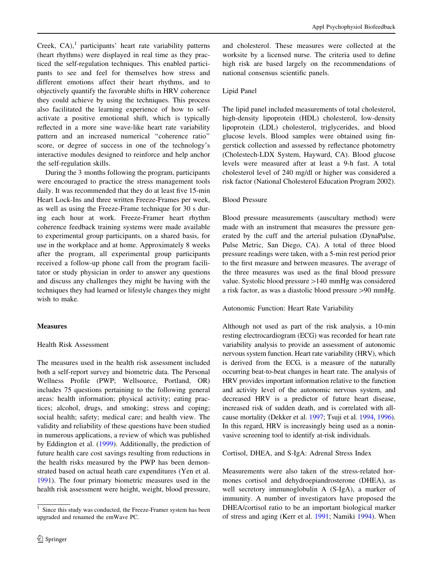Creek,  $CA$ <sup>1</sup>, participants' heart rate variability patterns (heart rhythms) were displayed in real time as they practiced the self-regulation techniques. This enabled participants to see and feel for themselves how stress and different emotions affect their heart rhythms, and to objectively quantify the favorable shifts in HRV coherence they could achieve by using the techniques. This process also facilitated the learning experience of how to selfactivate a positive emotional shift, which is typically reflected in a more sine wave-like heart rate variability pattern and an increased numerical ''coherence ratio'' score, or degree of success in one of the technology's interactive modules designed to reinforce and help anchor the self-regulation skills.

During the 3 months following the program, participants were encouraged to practice the stress management tools daily. It was recommended that they do at least five 15-min Heart Lock-Ins and three written Freeze-Frames per week, as well as using the Freeze-Frame technique for 30 s during each hour at work. Freeze-Framer heart rhythm coherence feedback training systems were made available to experimental group participants, on a shared basis, for use in the workplace and at home. Approximately 8 weeks after the program, all experimental group participants received a follow-up phone call from the program facilitator or study physician in order to answer any questions and discuss any challenges they might be having with the techniques they had learned or lifestyle changes they might wish to make.

### Measures

### Health Risk Assessment

The measures used in the health risk assessment included both a self-report survey and biometric data. The Personal Wellness Profile (PWP; Wellsource, Portland, OR) includes 75 questions pertaining to the following general areas: health information; physical activity; eating practices; alcohol, drugs, and smoking; stress and coping; social health; safety; medical care; and health view. The validity and reliability of these questions have been studied in numerous applications, a review of which was published by Eddington et al. [\(1999\)](#page-20-0). Additionally, the prediction of future health care cost savings resulting from reductions in the health risks measured by the PWP has been demonstrated based on actual heath care expenditures (Yen et al. [1991\)](#page-21-0). The four primary biometric measures used in the health risk assessment were height, weight, blood pressure,

and cholesterol. These measures were collected at the worksite by a licensed nurse. The criteria used to define high risk are based largely on the recommendations of national consensus scientific panels.

### Lipid Panel

The lipid panel included measurements of total cholesterol, high-density lipoprotein (HDL) cholesterol, low-density lipoprotein (LDL) cholesterol, triglycerides, and blood glucose levels. Blood samples were obtained using fingerstick collection and assessed by reflectance photometry (Cholestech-LDX System, Hayward, CA). Blood glucose levels were measured after at least a 9-h fast. A total cholesterol level of 240 mg/dl or higher was considered a risk factor (National Cholesterol Education Program 2002).

### Blood Pressure

Blood pressure measurements (auscultary method) were made with an instrument that measures the pressure generated by the cuff and the arterial pulsation (DynaPulse, Pulse Metric, San Diego, CA). A total of three blood pressure readings were taken, with a 5-min rest period prior to the first measure and between measures. The average of the three measures was used as the final blood pressure value. Systolic blood pressure  $>140$  mmHg was considered a risk factor, as was a diastolic blood pressure >90 mmHg.

### Autonomic Function: Heart Rate Variability

Although not used as part of the risk analysis, a 10-min resting electrocardiogram (ECG) was recorded for heart rate variability analysis to provide an assessment of autonomic nervous system function. Heart rate variability (HRV), which is derived from the ECG, is a measure of the naturally occurring beat-to-beat changes in heart rate. The analysis of HRV provides important information relative to the function and activity level of the autonomic nervous system, and decreased HRV is a predictor of future heart disease, increased risk of sudden death, and is correlated with allcause mortality (Dekker et al. [1997;](#page-20-0) Tsuji et al. [1994,](#page-21-0) [1996\)](#page-21-0). In this regard, HRV is increasingly being used as a noninvasive screening tool to identify at-risk individuals.

Cortisol, DHEA, and S-IgA: Adrenal Stress Index

Measurements were also taken of the stress-related hormones cortisol and dehydroepiandrosterone (DHEA), as well secretory immunoglobulin A (S-IgA), a marker of immunity. A number of investigators have proposed the DHEA/cortisol ratio to be an important biological marker of stress and aging (Kerr et al. [1991;](#page-20-0) Namiki [1994\)](#page-20-0). When

Since this study was conducted, the Freeze-Framer system has been upgraded and renamed the emWave PC.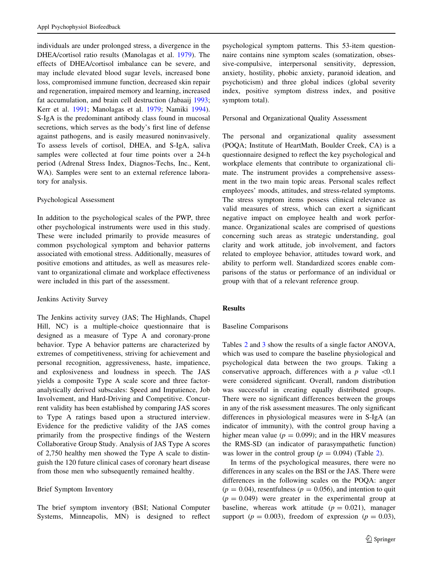<span id="page-6-0"></span>individuals are under prolonged stress, a divergence in the DHEA/cortisol ratio results (Manolagas et al. [1979\)](#page-20-0). The effects of DHEA/cortisol imbalance can be severe, and may include elevated blood sugar levels, increased bone loss, compromised immune function, decreased skin repair and regeneration, impaired memory and learning, increased fat accumulation, and brain cell destruction (Jabaaij [1993](#page-20-0); Kerr et al. [1991;](#page-20-0) Manolagas et al. [1979](#page-20-0); Namiki [1994](#page-20-0)). S-IgA is the predominant antibody class found in mucosal secretions, which serves as the body's first line of defense against pathogens, and is easily measured noninvasively. To assess levels of cortisol, DHEA, and S-IgA, saliva samples were collected at four time points over a 24-h period (Adrenal Stress Index, Diagnos-Techs, Inc., Kent, WA). Samples were sent to an external reference laboratory for analysis.

### Psychological Assessment

In addition to the psychological scales of the PWP, three other psychological instruments were used in this study. These were included primarily to provide measures of common psychological symptom and behavior patterns associated with emotional stress. Additionally, measures of positive emotions and attitudes, as well as measures relevant to organizational climate and workplace effectiveness were included in this part of the assessment.

### Jenkins Activity Survey

The Jenkins activity survey (JAS; The Highlands, Chapel Hill, NC) is a multiple-choice questionnaire that is designed as a measure of Type A and coronary-prone behavior. Type A behavior patterns are characterized by extremes of competitiveness, striving for achievement and personal recognition, aggressiveness, haste, impatience, and explosiveness and loudness in speech. The JAS yields a composite Type A scale score and three factoranalytically derived subscales: Speed and Impatience, Job Involvement, and Hard-Driving and Competitive. Concurrent validity has been established by comparing JAS scores to Type A ratings based upon a structured interview. Evidence for the predictive validity of the JAS comes primarily from the prospective findings of the Western Collaborative Group Study. Analysis of JAS Type A scores of 2,750 healthy men showed the Type A scale to distinguish the 120 future clinical cases of coronary heart disease from those men who subsequently remained healthy.

### Brief Symptom Inventory

The brief symptom inventory (BSI; National Computer Systems, Minneapolis, MN) is designed to reflect psychological symptom patterns. This 53-item questionnaire contains nine symptom scales (somatization, obsessive-compulsive, interpersonal sensitivity, depression, anxiety, hostility, phobic anxiety, paranoid ideation, and psychoticism) and three global indices (global severity index, positive symptom distress index, and positive symptom total).

# Personal and Organizational Quality Assessment

The personal and organizational quality assessment (POQA; Institute of HeartMath, Boulder Creek, CA) is a questionnaire designed to reflect the key psychological and workplace elements that contribute to organizational climate. The instrument provides a comprehensive assessment in the two main topic areas. Personal scales reflect employees' moods, attitudes, and stress-related symptoms. The stress symptom items possess clinical relevance as valid measures of stress, which can exert a significant negative impact on employee health and work performance. Organizational scales are comprised of questions concerning such areas as strategic understanding, goal clarity and work attitude, job involvement, and factors related to employee behavior, attitudes toward work, and ability to perform well. Standardized scores enable comparisons of the status or performance of an individual or group with that of a relevant reference group.

### Results

### Baseline Comparisons

Tables [2](#page-7-0) and [3](#page-8-0) show the results of a single factor ANOVA, which was used to compare the baseline physiological and psychological data between the two groups. Taking a conservative approach, differences with a p value  $\leq 0.1$ were considered significant. Overall, random distribution was successful in creating equally distributed groups. There were no significant differences between the groups in any of the risk assessment measures. The only significant differences in physiological measures were in S-IgA (an indicator of immunity), with the control group having a higher mean value ( $p = 0.099$ ); and in the HRV measures the RMS-SD (an indicator of parasympathetic function) was lower in the control group ( $p = 0.094$ ) (Table [2](#page-7-0)).

In terms of the psychological measures, there were no differences in any scales on the BSI or the JAS. There were differences in the following scales on the POQA: anger  $(p = 0.04)$ , resentfulness  $(p = 0.056)$ , and intention to quit  $(p = 0.049)$  were greater in the experimental group at baseline, whereas work attitude  $(p = 0.021)$ , manager support ( $p = 0.003$ ), freedom of expression ( $p = 0.03$ ),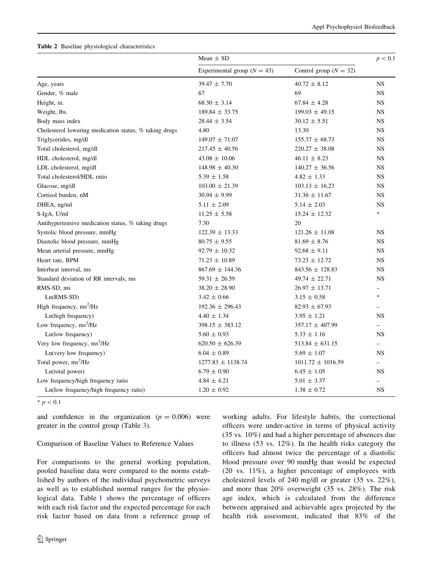#### <span id="page-7-0"></span>Table 2 Baseline physiological characteristics

|                                                        | Mean $\pm$ SD                   |                            | p < 0.1     |
|--------------------------------------------------------|---------------------------------|----------------------------|-------------|
|                                                        | Experimental group ( $N = 43$ ) | Control group ( $N = 32$ ) |             |
| Age, years                                             | $39.47 \pm 7.70$                | $40.72 \pm 8.12$           | <b>NS</b>   |
| Gender, % male                                         | 67                              | 69                         | <b>NS</b>   |
| Height, in.                                            | $68.30 \pm 3.14$                | $67.84 \pm 4.28$           | <b>NS</b>   |
| Weight, lbs.                                           | $189.84 \pm 33.75$              | $199.03 \pm 49.15$         | <b>NS</b>   |
| Body mass index                                        | $28.44 \pm 3.54$                | $30.12 \pm 5.51$           | <b>NS</b>   |
| Cholesterol lowering medication status, % taking drugs | 4.80                            | 13.30                      | <b>NS</b>   |
| Triglycerides, mg/dl                                   | $149.07 \pm 71.07$              | $155.37 \pm 68.73$         | <b>NS</b>   |
| Total cholesterol, mg/dl                               | $217.45 \pm 40.56$              | $220.27 \pm 38.08$         | <b>NS</b>   |
| HDL cholesterol, mg/dl                                 | $43.08 \pm 10.06$               | $46.11 \pm 8.23$           | <b>NS</b>   |
| LDL cholesterol, mg/dl                                 | $148.98 \pm 40.30$              | $140.27 \pm 36.56$         | <b>NS</b>   |
| Total cholesterol/HDL ratio                            | $5.39 \pm 1.58$                 | $4.82 \pm 1.33$            | <b>NS</b>   |
| Glucose, mg/dl                                         | $103.00 \pm 21.39$              | $103.13 \pm 16.23$         | <b>NS</b>   |
| Cortisol burden, nM                                    | $30.94 \pm 9.99$                | $31.36 \pm 11.67$          | <b>NS</b>   |
| DHEA, ng/ml                                            | $5.11 \pm 2.09$                 | $5.14 \pm 2.03$            | <b>NS</b>   |
| S-IgA, U/ml                                            | $11.25 \pm 5.58$                | $15.24 \pm 12.32$          | $\ast$      |
| Antihypertensive medication status, % taking drugs     | 7.30                            | 20                         |             |
| Systolic blood pressure, mmHg                          | $122.39 \pm 13.33$              | $121.26 \pm 11.08$         | <b>NS</b>   |
| Diastolic blood pressure, mmHg                         | $80.75 \pm 9.55$                | $81.69 \pm 8.76$           | <b>NS</b>   |
| Mean arterial pressure, mmHg                           | $92.79 \pm 10.32$               | $92.68 \pm 9.11$           | <b>NS</b>   |
| Heart rate, BPM                                        | $71.23 \pm 10.89$               | $73.23 \pm 12.72$          | <b>NS</b>   |
| Interbeat interval, ms                                 | $867.69 \pm 144.36$             | $843.56 \pm 128.83$        | <b>NS</b>   |
| Standard deviation of RR intervals, ms                 | $59.31 \pm 26.59$               | $49.74 \pm 22.71$          | <b>NS</b>   |
| RMS-SD, ms                                             | $38.20 \pm 28.90$               | $26.97 \pm 13.71$          |             |
| $Ln(RMS-SD)$                                           | $3.42 \pm 0.66$                 | $3.15 \pm 0.58$            | $\ast$      |
| High frequency, ms <sup>2</sup> /Hz                    | $192.36 \pm 296.43$             | $82.93 \pm 67.93$          |             |
| Ln(high frequency)                                     | $4.40 \pm 1.34$                 | $3.95 \pm 1.21$            | <b>NS</b>   |
| Low frequency, ms <sup>2</sup> /Hz                     | $398.15 \pm 383.12$             | $357.17 \pm 407.99$        |             |
| Ln(low frequency)                                      | $5.60 \pm 0.93$                 | $5.33 \pm 1.16$            | <b>NS</b>   |
| Very low frequency, ms <sup>2</sup> /Hz                | $620.50 \pm 626.39$             | $513.84 \pm 631.15$        |             |
| Ln(very low frequency)                                 | $6.04 \pm 0.89$                 | $5.69 \pm 1.07$            | <b>NS</b>   |
| Total power, ms <sup>2</sup> /Hz                       | $1277.83 \pm 1138.74$           | $1011.72 \pm 1016.59$      |             |
| Ln(total power)                                        | $6.79 \pm 0.90$                 | $6.45 \pm 1.05$            | <b>NS</b>   |
| Low frequency/high frequency ratio                     | $4.84 \pm 4.21$                 | $5.01 \pm 3.37$            |             |
| Ln(low frequency/high frequency ratio)                 | $1.20 \pm 0.92$                 | $1.38 \pm 0.72$            | $_{\rm NS}$ |

 $* p < 0.1$ 

and confidence in the organization  $(p = 0.006)$  were greater in the control group (Table [3\)](#page-8-0).

### Comparison of Baseline Values to Reference Values

For comparisons to the general working population, pooled baseline data were compared to the norms established by authors of the individual psychometric surveys as well as to established normal ranges for the physiological data. Table [1](#page-2-0) shows the percentage of officers with each risk factor and the expected percentage for each risk factor based on data from a reference group of working adults. For lifestyle habits, the correctional officers were under-active in terms of physical activity (35 vs. 10%) and had a higher percentage of absences due to illness (53 vs. 12%). In the health risks category the officers had almost twice the percentage of a diastolic blood pressure over 90 mmHg than would be expected (20 vs. 11%), a higher percentage of employees with cholesterol levels of 240 mg/dl or greater (35 vs. 22%), and more than 20% overweight (35 vs. 28%). The risk age index, which is calculated from the difference between appraised and achievable ages projected by the health risk assessment, indicated that 83% of the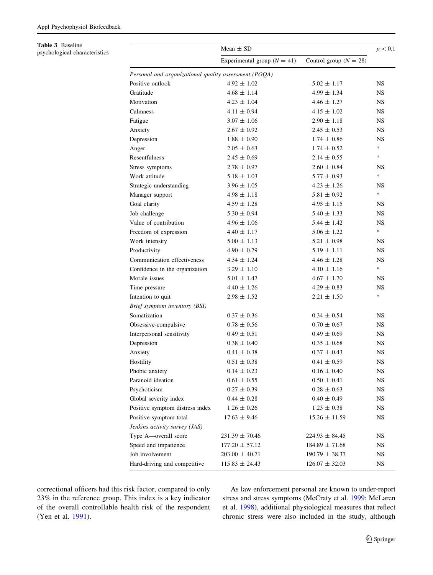<span id="page-8-0"></span>Table 3 Baseline psychological characteristics

|                                                       | Mean $\pm$ SD                   |                            | p < 0.1   |
|-------------------------------------------------------|---------------------------------|----------------------------|-----------|
|                                                       | Experimental group ( $N = 41$ ) | Control group ( $N = 28$ ) |           |
| Personal and organizational quality assessment (POQA) |                                 |                            |           |
| Positive outlook                                      | $4.92 \pm 1.02$                 | $5.02 \pm 1.17$            | NS.       |
| Gratitude                                             | $4.68 \pm 1.14$                 | $4.99 \pm 1.34$            | NS        |
| Motivation                                            | $4.23 \pm 1.04$                 | $4.46 \pm 1.27$            | NS        |
| Calmness                                              | $4.11 \pm 0.94$                 | $4.15 \pm 1.02$            | NS        |
| Fatigue                                               | $3.07 \pm 1.06$                 | $2.90 \pm 1.18$            | NS        |
| Anxiety                                               | $2.67 \pm 0.92$                 | $2.45 \pm 0.53$            | NS        |
| Depression                                            | $1.88 \pm 0.90$                 | $1.74 \pm 0.86$            | NS        |
| Anger                                                 | $2.05 \pm 0.63$                 | $1.74 \pm 0.52$            | $\ast$    |
| Resentfulness                                         | $2.45 \pm 0.69$                 | $2.14 \pm 0.55$            | $\ast$    |
| Stress symptoms                                       | $2.78 \pm 0.97$                 | $2.60 \pm 0.84$            | NS        |
| Work attitude                                         | $5.18 \pm 1.03$                 | $5.77 \pm 0.93$            | $\ast$    |
| Strategic understanding                               | $3.96 \pm 1.05$                 | $4.23 \pm 1.26$            | NS        |
| Manager support                                       | $4.98 \pm 1.18$                 | $5.81 \pm 0.92$            | $\ast$    |
| Goal clarity                                          | $4.59 \pm 1.28$                 | $4.95 \pm 1.15$            | NS        |
| Job challenge                                         | $5.30 \pm 0.94$                 | $5.40 \pm 1.33$            | NS        |
| Value of contribution                                 | $4.96 \pm 1.06$                 | $5.44 \pm 1.42$            | NS        |
| Freedom of expression                                 | $4.40 \pm 1.17$                 | $5.06 \pm 1.22$            | *         |
| Work intensity                                        | $5.00 \pm 1.13$                 | $5.21 \pm 0.98$            | NS        |
| Productivity                                          | $4.90 \pm 0.79$                 | $5.19 \pm 1.11$            | NS        |
| Communication effectiveness                           | $4.34 \pm 1.24$                 | $4.46 \pm 1.28$            | NS        |
| Confidence in the organization                        | $3.29 \pm 1.10$                 | $4.10 \pm 1.16$            | $\ast$    |
| Morale issues                                         | $5.01 \pm 1.47$                 | $4.67 \pm 1.70$            | NS        |
| Time pressure                                         | $4.40 \pm 1.26$                 | $4.29 \pm 0.83$            | NS        |
| Intention to quit                                     | $2.98 \pm 1.52$                 | $2.21 \pm 1.50$            | $\ast$    |
| Brief symptom inventory (BSI)                         |                                 |                            |           |
| Somatization                                          | $0.37 \pm 0.36$                 | $0.34 \pm 0.54$            | NS        |
| Obsessive-compulsive                                  | $0.78 \pm 0.56$                 | $0.70 \pm 0.67$            | NS        |
| Interpersonal sensitivity                             | $0.49 \pm 0.51$                 | $0.49 \pm 0.69$            | <b>NS</b> |
| Depression                                            | $0.38 \pm 0.40$                 | $0.35 \pm 0.68$            | NS        |
| Anxiety                                               | $0.41 \pm 0.38$                 | $0.37 \pm 0.43$            | NS        |
| Hostility                                             | $0.51 \pm 0.38$                 | $0.41 \pm 0.59$            | NS        |
| Phobic anxiety                                        | $0.14 \pm 0.23$                 | $0.16 \pm 0.40$            | <b>NS</b> |
| Paranoid ideation                                     | $0.61 \pm 0.55$                 | $0.50 \pm 0.41$            | NS        |
| Psychoticism                                          | $0.27 \pm 0.39$                 | $0.28 \pm 0.63$            | NS        |
| Global severity index                                 | $0.44 \pm 0.28$                 | $0.40 \pm 0.49$            | NS        |
| Positive symptom distress index                       | $1.26 \pm 0.26$                 | $1.23 \pm 0.38$            | NS        |
| Positive symptom total                                | $17.63 \pm 9.46$                | $15.26 \pm 11.59$          | <b>NS</b> |
| Jenkins activity survey (JAS)                         |                                 |                            |           |
| Type A-overall score                                  | $231.39 \pm 70.46$              | $224.93 \pm 84.45$         | NS        |
| Speed and impatience                                  | $177.20 \pm 57.12$              | $184.89 \pm 71.68$         | NS        |
| Job involvement                                       | $203.00 \pm 40.71$              | $190.79 \pm 38.37$         | NS        |
| Hard-driving and competitive                          | $115.83 \pm 24.43$              | $126.07 \pm 32.03$         | NS        |

correctional officers had this risk factor, compared to only 23% in the reference group. This index is a key indicator of the overall controllable health risk of the respondent (Yen et al. [1991\)](#page-21-0).

As law enforcement personal are known to under-report stress and stress symptoms (McCraty et al. [1999;](#page-20-0) McLaren et al. [1998\)](#page-20-0), additional physiological measures that reflect chronic stress were also included in the study, although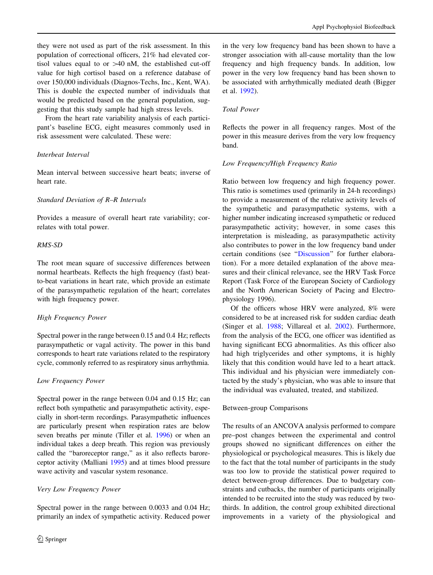they were not used as part of the risk assessment. In this population of correctional officers, 21% had elevated cortisol values equal to or  $>40$  nM, the established cut-off value for high cortisol based on a reference database of over 150,000 individuals (Diagnos-Techs, Inc., Kent, WA). This is double the expected number of individuals that would be predicted based on the general population, suggesting that this study sample had high stress levels.

From the heart rate variability analysis of each participant's baseline ECG, eight measures commonly used in risk assessment were calculated. These were:

### Interbeat Interval

Mean interval between successive heart beats; inverse of heart rate.

### Standard Deviation of R–R Intervals

Provides a measure of overall heart rate variability; correlates with total power.

### RMS-SD

The root mean square of successive differences between normal heartbeats. Reflects the high frequency (fast) beatto-beat variations in heart rate, which provide an estimate of the parasympathetic regulation of the heart; correlates with high frequency power.

# High Frequency Power

Spectral power in the range between 0.15 and 0.4 Hz; reflects parasympathetic or vagal activity. The power in this band corresponds to heart rate variations related to the respiratory cycle, commonly referred to as respiratory sinus arrhythmia.

# Low Frequency Power

Spectral power in the range between 0.04 and 0.15 Hz; can reflect both sympathetic and parasympathetic activity, especially in short-term recordings. Parasympathetic influences are particularly present when respiration rates are below seven breaths per minute (Tiller et al. [1996\)](#page-21-0) or when an individual takes a deep breath. This region was previously called the "baroreceptor range," as it also reflects baroreceptor activity (Malliani [1995](#page-20-0)) and at times blood pressure wave activity and vascular system resonance.

# Very Low Frequency Power

Spectral power in the range between 0.0033 and 0.04 Hz; primarily an index of sympathetic activity. Reduced power in the very low frequency band has been shown to have a stronger association with all-cause mortality than the low frequency and high frequency bands. In addition, low power in the very low frequency band has been shown to be associated with arrhythmically mediated death (Bigger et al. [1992\)](#page-19-0).

### Total Power

Reflects the power in all frequency ranges. Most of the power in this measure derives from the very low frequency band.

### Low Frequency/High Frequency Ratio

Ratio between low frequency and high frequency power. This ratio is sometimes used (primarily in 24-h recordings) to provide a measurement of the relative activity levels of the sympathetic and parasympathetic systems, with a higher number indicating increased sympathetic or reduced parasympathetic activity; however, in some cases this interpretation is misleading, as parasympathetic activity also contributes to power in the low frequency band under certain conditions (see '['Discussion'](#page-15-0)' for further elaboration). For a more detailed explanation of the above measures and their clinical relevance, see the HRV Task Force Report (Task Force of the European Society of Cardiology and the North American Society of Pacing and Electrophysiology 1996).

Of the officers whose HRV were analyzed, 8% were considered to be at increased risk for sudden cardiac death (Singer et al. [1988;](#page-20-0) Villareal et al. [2002](#page-21-0)). Furthermore, from the analysis of the ECG, one officer was identified as having significant ECG abnormalities. As this officer also had high triglycerides and other symptoms, it is highly likely that this condition would have led to a heart attack. This individual and his physician were immediately contacted by the study's physician, who was able to insure that the individual was evaluated, treated, and stabilized.

# Between-group Comparisons

The results of an ANCOVA analysis performed to compare pre–post changes between the experimental and control groups showed no significant differences on either the physiological or psychological measures. This is likely due to the fact that the total number of participants in the study was too low to provide the statistical power required to detect between-group differences. Due to budgetary constraints and cutbacks, the number of participants originally intended to be recruited into the study was reduced by twothirds. In addition, the control group exhibited directional improvements in a variety of the physiological and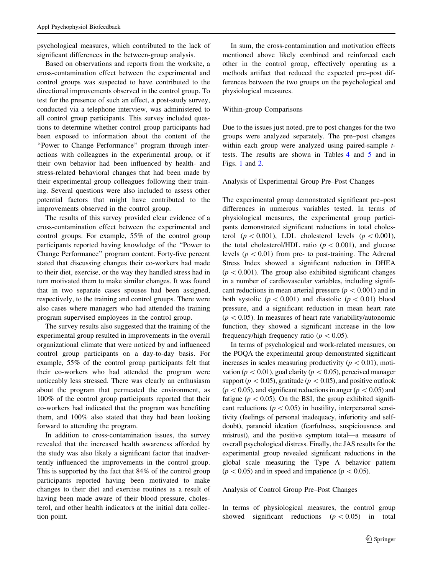psychological measures, which contributed to the lack of significant differences in the between-group analysis.

Based on observations and reports from the worksite, a cross-contamination effect between the experimental and control groups was suspected to have contributed to the directional improvements observed in the control group. To test for the presence of such an effect, a post-study survey, conducted via a telephone interview, was administered to all control group participants. This survey included questions to determine whether control group participants had been exposed to information about the content of the ''Power to Change Performance'' program through interactions with colleagues in the experimental group, or if their own behavior had been influenced by health- and stress-related behavioral changes that had been made by their experimental group colleagues following their training. Several questions were also included to assess other potential factors that might have contributed to the improvements observed in the control group.

The results of this survey provided clear evidence of a cross-contamination effect between the experimental and control groups. For example, 55% of the control group participants reported having knowledge of the ''Power to Change Performance'' program content. Forty-five percent stated that discussing changes their co-workers had made to their diet, exercise, or the way they handled stress had in turn motivated them to make similar changes. It was found that in two separate cases spouses had been assigned, respectively, to the training and control groups. There were also cases where managers who had attended the training program supervised employees in the control group.

The survey results also suggested that the training of the experimental group resulted in improvements in the overall organizational climate that were noticed by and influenced control group participants on a day-to-day basis. For example, 55% of the control group participants felt that their co-workers who had attended the program were noticeably less stressed. There was clearly an enthusiasm about the program that permeated the environment, as 100% of the control group participants reported that their co-workers had indicated that the program was benefiting them, and 100% also stated that they had been looking forward to attending the program.

In addition to cross-contamination issues, the survey revealed that the increased health awareness afforded by the study was also likely a significant factor that inadvertently influenced the improvements in the control group. This is supported by the fact that 84% of the control group participants reported having been motivated to make changes to their diet and exercise routines as a result of having been made aware of their blood pressure, cholesterol, and other health indicators at the initial data collection point.

In sum, the cross-contamination and motivation effects mentioned above likely combined and reinforced each other in the control group, effectively operating as a methods artifact that reduced the expected pre–post differences between the two groups on the psychological and physiological measures.

### Within-group Comparisons

Due to the issues just noted, pre to post changes for the two groups were analyzed separately. The pre–post changes within each group were analyzed using paired-sample ttests. The results are shown in Tables [4](#page-11-0) and [5](#page-12-0) and in Figs. [1](#page-13-0) and [2](#page-14-0).

### Analysis of Experimental Group Pre–Post Changes

The experimental group demonstrated significant pre–post differences in numerous variables tested. In terms of physiological measures, the experimental group participants demonstrated significant reductions in total cholesterol ( $p\lt 0.001$ ), LDL cholesterol levels ( $p\lt 0.001$ ), the total cholesterol/HDL ratio ( $p < 0.001$ ), and glucose levels ( $p < 0.01$ ) from pre- to post-training. The Adrenal Stress Index showed a significant reduction in DHEA  $(p<0.001)$ . The group also exhibited significant changes in a number of cardiovascular variables, including significant reductions in mean arterial pressure ( $p < 0.001$ ) and in both systolic ( $p<0.001$ ) and diastolic ( $p<0.01$ ) blood pressure, and a significant reduction in mean heart rate  $(p<0.05)$ . In measures of heart rate variability/autonomic function, they showed a significant increase in the low frequency/high frequency ratio ( $p<0.05$ ).

In terms of psychological and work-related measures, on the POQA the experimental group demonstrated significant increases in scales measuring productivity ( $p<0.01$ ), motivation ( $p\lt 0.01$ ), goal clarity ( $p\lt 0.05$ ), perceived manager support ( $p<0.05$ ), gratitude ( $p<0.05$ ), and positive outlook  $(p\lt 0.05)$ , and significant reductions in anger  $(p\lt 0.05)$  and fatigue ( $p < 0.05$ ). On the BSI, the group exhibited significant reductions ( $p < 0.05$ ) in hostility, interpersonal sensitivity (feelings of personal inadequacy, inferiority and selfdoubt), paranoid ideation (fearfulness, suspiciousness and mistrust), and the positive symptom total—a measure of overall psychological distress. Finally, the JAS results for the experimental group revealed significant reductions in the global scale measuring the Type A behavior pattern  $(p<0.05)$  and in speed and impatience  $(p<0.05)$ .

### Analysis of Control Group Pre–Post Changes

In terms of physiological measures, the control group showed significant reductions  $(p<0.05)$  in total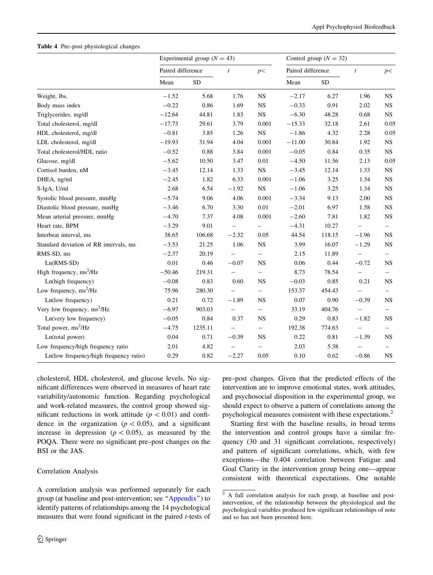#### <span id="page-11-0"></span>Table 4 Pre–post physiological changes

|                                             |                   | Experimental group ( $N = 43$ ) |                          |                          |                   | Control group ( $N = 32$ ) |                          |                          |
|---------------------------------------------|-------------------|---------------------------------|--------------------------|--------------------------|-------------------|----------------------------|--------------------------|--------------------------|
|                                             | Paired difference |                                 | $\boldsymbol{t}$         | p<                       | Paired difference |                            | $\boldsymbol{t}$         | p<                       |
|                                             | Mean              | <b>SD</b>                       |                          |                          | Mean              | <b>SD</b>                  |                          |                          |
| Weight, lbs.                                | $-1.52$           | 5.68                            | 1.76                     | <b>NS</b>                | $-2.17$           | 6.27                       | 1.96                     | <b>NS</b>                |
| Body mass index                             | $-0.22$           | 0.86                            | 1.69                     | $_{\rm NS}$              | $-0.33$           | 0.91                       | 2.02                     | <b>NS</b>                |
| Triglycerides, mg/dl                        | $-12.64$          | 44.81                           | 1.83                     | <b>NS</b>                | $-6.30$           | 48.28                      | 0.68                     | <b>NS</b>                |
| Total cholesterol, mg/dl                    | $-17.73$          | 29.61                           | 3.79                     | 0.001                    | $-15.33$          | 32.18                      | 2.61                     | 0.05                     |
| HDL cholesterol, mg/dl                      | $-0.81$           | 3.85                            | 1.26                     | NS                       | $-1.86$           | 4.32                       | 2.28                     | 0.05                     |
| LDL cholesterol, mg/dl                      | $-19.93$          | 31.94                           | 4.04                     | 0.001                    | $-11.00$          | 30.84                      | 1.92                     | <b>NS</b>                |
| Total cholesterol/HDL ratio                 | $-0.52$           | 0.88                            | 3.84                     | 0.001                    | $-0.05$           | 0.84                       | 0.35                     | <b>NS</b>                |
| Glucose, mg/dl                              | $-5.62$           | 10.50                           | 3.47                     | 0.01                     | $-4.50$           | 11.56                      | 2.13                     | 0.05                     |
| Cortisol burden, nM                         | $-3.45$           | 12.14                           | 1.33                     | $_{\rm NS}$              | $-3.45$           | 12.14                      | 1.33                     | <b>NS</b>                |
| DHEA, ng/ml                                 | $-2.45$           | 1.82                            | 6.33                     | 0.001                    | $-1.06$           | 3.25                       | 1.34                     | <b>NS</b>                |
| S-IgA, U/ml                                 | 2.68              | 6.54                            | $-1.92$                  | <b>NS</b>                | $-1.06$           | 3.25                       | 1.34                     | <b>NS</b>                |
| Systolic blood pressure, mmHg               | $-5.74$           | 9.06                            | 4.06                     | 0.001                    | $-3.34$           | 9.13                       | 2.00                     | <b>NS</b>                |
| Diastolic blood pressure, mmHg              | $-3.46$           | 6.70                            | 3.30                     | 0.01                     | $-2.01$           | 6.97                       | 1.58                     | <b>NS</b>                |
| Mean arterial pressure, mmHg                | $-4.70$           | 7.37                            | 4.08                     | 0.001                    | $-2.60$           | 7.81                       | 1.82                     | <b>NS</b>                |
| Heart rate, BPM                             | $-3.29$           | 9.01                            |                          | $\overline{\phantom{0}}$ | $-4.31$           | 10.27                      |                          | $\overline{\phantom{0}}$ |
| Interbeat interval, ms                      | 38.65             | 106.68                          | $-2.32$                  | 0.05                     | 44.54             | 118.15                     | $-1.96$                  | <b>NS</b>                |
| Standard deviation of RR intervals, ms      | $-3.53$           | 21.25                           | 1.06                     | <b>NS</b>                | 3.99              | 16.07                      | $-1.29$                  | <b>NS</b>                |
| RMS-SD, ms                                  | $-2.37$           | 20.19                           |                          | $\equiv$                 | 2.15              | 11.89                      | $\overline{\phantom{0}}$ |                          |
| $Ln(RMS-SD)$                                | $0.01\,$          | 0.46                            | $-0.07$                  | <b>NS</b>                | 0.06              | 0.44                       | $-0.72$                  | <b>NS</b>                |
| High frequency, $\text{ms}^2/\text{Hz}$     | $-50.46$          | 219.31                          |                          | $\overline{\phantom{0}}$ | 8.73              | 78.54                      | $\overline{\phantom{0}}$ |                          |
| Ln(high frequency)                          | $-0.08$           | 0.83                            | 0.60                     | <b>NS</b>                | $-0.03$           | 0.85                       | 0.21                     | <b>NS</b>                |
| Low frequency, $\text{ms}^2/\text{Hz}$      | 75.96             | 280.30                          | $\overline{\phantom{0}}$ | $\overline{\phantom{0}}$ | 153.37            | 454.43                     |                          |                          |
| Ln(low frequency)                           | 0.21              | 0.72                            | $-1.89$                  | <b>NS</b>                | 0.07              | 0.90                       | $-0.39$                  | <b>NS</b>                |
| Very low frequency, $\text{ms}^2/\text{Hz}$ | $-6.97$           | 903.03                          |                          | $\qquad \qquad -$        | 33.19             | 404.76                     |                          |                          |
| Ln(very low frequency)                      | $-0.05$           | 0.84                            | 0.37                     | <b>NS</b>                | 0.29              | 0.83                       | $-1.82$                  | <b>NS</b>                |
| Total power, ms <sup>2</sup> /Hz            | $-4.75$           | 1235.11                         |                          | $\overline{\phantom{0}}$ | 192.38            | 774.63                     | $\overline{\phantom{0}}$ |                          |
| Ln(total power)                             | 0.04              | 0.71                            | $-0.39$                  | <b>NS</b>                | 0.22              | 0.81                       | $-1.39$                  | <b>NS</b>                |
| Low frequency/high frequency ratio          | 2.01              | 4.82                            |                          | $\qquad \qquad -$        | 2.03              | 5.38                       |                          |                          |
| Ln(low frequency/high frequency ratio)      | 0.29              | 0.82                            | $-2.27$                  | 0.05                     | 0.10              | 0.62                       | $-0.86$                  | <b>NS</b>                |

cholesterol, HDL cholesterol, and glucose levels. No significant differences were observed in measures of heart rate variability/autonomic function. Regarding psychological and work-related measures, the control group showed significant reductions in work attitude ( $p < 0.01$ ) and confidence in the organization ( $p \lt 0.05$ ), and a significant increase in depression ( $p < 0.05$ ), as measured by the POQA. There were no significant pre–post changes on the BSI or the JAS.

### Correlation Analysis

A correlation analysis was performed separately for each group (at baseline and post-intervention; see ''[Appendix](#page-17-0)'') to identify patterns of relationships among the 14 psychological measures that were found significant in the paired t-tests of pre–post changes. Given that the predicted effects of the intervention are to improve emotional states, work attitudes, and psychosocial disposition in the experimental group, we should expect to observe a pattern of correlations among the psychological measures consistent with these expectations.2

Starting first with the baseline results, in broad terms the intervention and control groups have a similar frequency (30 and 31 significant correlations, respectively) and pattern of significant correlations, which, with few exceptions—the 0.404 correlation between Fatigue and Goal Clarity in the intervention group being one—appear consistent with theoretical expectations. One notable

 $\overline{2\ A}$  full correlation analysis for each group, at baseline and postintervention, of the relationship between the physiological and the psychological variables produced few significant relationships of note and so has not been presented here.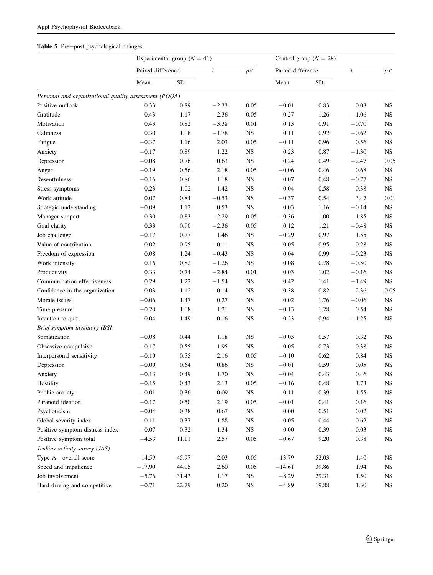### <span id="page-12-0"></span>Table 5 Pre-post psychological changes

|                                                       |                   | Experimental group ( $N = 41$ ) |                  |             |                   | Control group ( $N = 28$ ) |                  |             |
|-------------------------------------------------------|-------------------|---------------------------------|------------------|-------------|-------------------|----------------------------|------------------|-------------|
|                                                       | Paired difference |                                 | $\boldsymbol{t}$ | p<          | Paired difference |                            | $\boldsymbol{t}$ | p<          |
|                                                       | Mean              | <b>SD</b>                       |                  |             | Mean              | <b>SD</b>                  |                  |             |
| Personal and organizational quality assessment (POQA) |                   |                                 |                  |             |                   |                            |                  |             |
| Positive outlook                                      | 0.33              | 0.89                            | $-2.33$          | 0.05        | $-0.01$           | 0.83                       | 0.08             | $_{\rm NS}$ |
| Gratitude                                             | 0.43              | 1.17                            | $-2.36$          | 0.05        | 0.27              | 1.26                       | $-1.06$          | <b>NS</b>   |
| Motivation                                            | 0.43              | 0.82                            | $-3.38$          | 0.01        | 0.13              | 0.91                       | $-0.70$          | $_{\rm NS}$ |
| Calmness                                              | 0.30              | 1.08                            | $-1.78$          | <b>NS</b>   | 0.11              | 0.92                       | $-0.62$          | <b>NS</b>   |
| Fatigue                                               | $-0.37$           | 1.16                            | 2.03             | 0.05        | $-0.11$           | 0.96                       | 0.56             | <b>NS</b>   |
| Anxiety                                               | $-0.17$           | 0.89                            | 1.22             | <b>NS</b>   | 0.23              | 0.87                       | $-1.30$          | <b>NS</b>   |
| Depression                                            | $-0.08$           | 0.76                            | 0.63             | $_{\rm NS}$ | 0.24              | 0.49                       | $-2.47$          | 0.05        |
| Anger                                                 | $-0.19$           | 0.56                            | 2.18             | 0.05        | $-0.06$           | 0.46                       | 0.68             | $_{\rm NS}$ |
| Resentfulness                                         | $-0.16$           | 0.86                            | 1.18             | $_{\rm NS}$ | 0.07              | 0.48                       | $-0.77$          | $_{\rm NS}$ |
| Stress symptoms                                       | $-0.23$           | 1.02                            | 1.42             | <b>NS</b>   | $-0.04$           | 0.58                       | 0.38             | <b>NS</b>   |
| Work attitude                                         | 0.07              | 0.84                            | $-0.53$          | $_{\rm NS}$ | $-0.37$           | 0.54                       | 3.47             | 0.01        |
| Strategic understanding                               | $-0.09$           | 1.12                            | 0.53             | <b>NS</b>   | 0.03              | 1.16                       | $-0.14$          | <b>NS</b>   |
| Manager support                                       | 0.30              | 0.83                            | $-2.29$          | 0.05        | $-0.36$           | 1.00                       | 1.85             | $_{\rm NS}$ |
| Goal clarity                                          | 0.33              | 0.90                            | $-2.36$          | 0.05        | 0.12              | 1.21                       | $-0.48$          | <b>NS</b>   |
| Job challenge                                         | $-0.17$           | 0.77                            | 1.46             | $_{\rm NS}$ | $-0.29$           | 0.97                       | 1.55             | $_{\rm NS}$ |
| Value of contribution                                 | 0.02              | 0.95                            | $-0.11$          | $_{\rm NS}$ | $-0.05$           | 0.95                       | 0.28             | <b>NS</b>   |
| Freedom of expression                                 | 0.08              | 1.24                            | $-0.43$          | $_{\rm NS}$ | 0.04              | 0.99                       | $-0.23$          | $_{\rm NS}$ |
| Work intensity                                        | 0.16              | 0.82                            | $-1.26$          | <b>NS</b>   | 0.08              | 0.78                       | $-0.50$          | <b>NS</b>   |
| Productivity                                          | 0.33              | 0.74                            | $-2.84$          | 0.01        | 0.03              | 1.02                       | $-0.16$          | $_{\rm NS}$ |
| Communication effectiveness                           | 0.29              | 1.22                            | $-1.54$          | $_{\rm NS}$ | 0.42              | 1.41                       | $-1.49$          | <b>NS</b>   |
| Confidence in the organization                        | 0.03              | 1.12                            | $-0.14$          | $_{\rm NS}$ | $-0.38$           | 0.82                       | 2.36             | 0.05        |
| Morale issues                                         | $-0.06$           | 1.47                            | 0.27             | $_{\rm NS}$ | 0.02              | 1.76                       | $-0.06$          | <b>NS</b>   |
| Time pressure                                         | $-0.20$           | 1.08                            | 1.21             | $_{\rm NS}$ | $-0.13$           | 1.28                       | 0.54             | $_{\rm NS}$ |
| Intention to quit                                     | $-0.04$           | 1.49                            | 0.16             | <b>NS</b>   | 0.23              | 0.94                       | $-1.25$          | <b>NS</b>   |
| Brief symptom inventory (BSI)                         |                   |                                 |                  |             |                   |                            |                  |             |
| Somatization                                          | $-0.08$           | 0.44                            | 1.18             | <b>NS</b>   | $-0.03$           | 0.57                       | 0.32             | <b>NS</b>   |
| Obsessive-compulsive                                  | $-0.17$           | 0.55                            | 1.95             | <b>NS</b>   | $-0.05$           | 0.73                       | 0.38             | $_{\rm NS}$ |
| Interpersonal sensitivity                             | $-0.19$           | 0.55                            | 2.16             | 0.05        | $-0.10$           | 0.62                       | 0.84             | <b>NS</b>   |
| Depression                                            | $-0.09$           | 0.64                            | 0.86             | <b>NS</b>   | $-0.01$           | 0.59                       | 0.05             | $_{\rm NS}$ |
| Anxiety                                               | $-0.13$           | 0.49                            | 1.70             | <b>NS</b>   | $-0.04$           | 0.43                       | 0.46             | <b>NS</b>   |
| Hostility                                             | $-0.15$           | 0.43                            | 2.13             | $0.05\,$    | $-0.16$           | 0.48                       | 1.73             | $_{\rm NS}$ |
| Phobic anxiety                                        | $\!-0.01\!$       | 0.36                            | 0.09             | $_{\rm NS}$ | $-0.11$           | 0.39                       | 1.55             | NS          |
| Paranoid ideation                                     | $-0.17$           | 0.50                            | 2.19             | 0.05        | $-0.01$           | 0.41                       | 0.16             | $_{\rm NS}$ |
| Psychoticism                                          | $-0.04$           | 0.38                            | 0.67             | <b>NS</b>   | $0.00\,$          | 0.51                       | $0.02\,$         | $_{\rm NS}$ |
| Global severity index                                 | $-0.11$           | 0.37                            | 1.88             | $_{\rm NS}$ | $-0.05$           | 0.44                       | 0.62             | $_{\rm NS}$ |
| Positive symptom distress index                       | $-0.07$           | 0.32                            | 1.34             | <b>NS</b>   | $0.00\,$          | 0.39                       | $-0.03$          | NS          |
| Positive symptom total                                | $-4.53$           | 11.11                           | 2.57             | 0.05        | $-0.67$           | 9.20                       | 0.38             | NS          |
| Jenkins activity survey (JAS)                         |                   |                                 |                  |             |                   |                            |                  |             |
| Type A-overall score                                  | $-14.59$          | 45.97                           | 2.03             | 0.05        | $-13.79$          | 52.03                      | 1.40             | NS          |
| Speed and impatience                                  | $-17.90$          | 44.05                           | 2.60             | 0.05        | $-14.61$          | 39.86                      | 1.94             | NS          |
| Job involvement                                       | $-5.76$           | 31.43                           | 1.17             | <b>NS</b>   | $-8.29$           | 29.31                      | 1.50             | $_{\rm NS}$ |
| Hard-driving and competitive                          | $-0.71$           | 22.79                           | 0.20             | <b>NS</b>   | $-4.89$           | 19.88                      | 1.30             | NS          |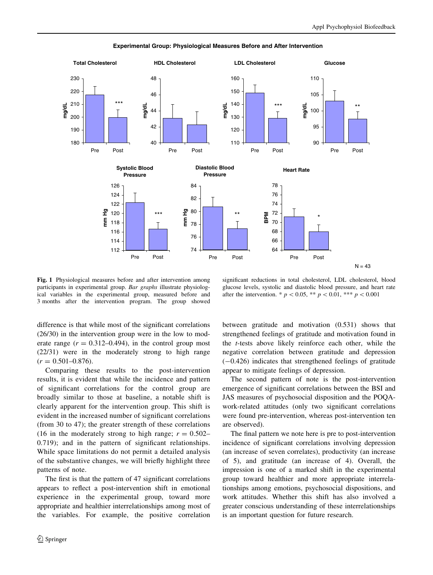<span id="page-13-0"></span>

**Experimental Group: Physiological Measures Before and After Intervention**

Fig. 1 Physiological measures before and after intervention among participants in experimental group. Bar graphs illustrate physiological variables in the experimental group, measured before and 3 months after the intervention program. The group showed

significant reductions in total cholesterol, LDL cholesterol, blood glucose levels, systolic and diastolic blood pressure, and heart rate after the intervention. \*  $p < 0.05$ , \*\*  $p < 0.01$ , \*\*\*  $p < 0.001$ 

difference is that while most of the significant correlations (26/30) in the intervention group were in the low to moderate range  $(r = 0.312{\text -}0.494)$ , in the control group most (22/31) were in the moderately strong to high range  $(r = 0.501 - 0.876).$ 

Comparing these results to the post-intervention results, it is evident that while the incidence and pattern of significant correlations for the control group are broadly similar to those at baseline, a notable shift is clearly apparent for the intervention group. This shift is evident in the increased number of significant correlations (from 30 to 47); the greater strength of these correlations (16 in the moderately strong to high range;  $r = 0.502-$ 0.719); and in the pattern of significant relationships. While space limitations do not permit a detailed analysis of the substantive changes, we will briefly highlight three patterns of note.

The first is that the pattern of 47 significant correlations appears to reflect a post-intervention shift in emotional experience in the experimental group, toward more appropriate and healthier interrelationships among most of the variables. For example, the positive correlation between gratitude and motivation (0.531) shows that strengthened feelings of gratitude and motivation found in the t-tests above likely reinforce each other, while the negative correlation between gratitude and depression  $(-0.426)$  indicates that strengthened feelings of gratitude appear to mitigate feelings of depression.

The second pattern of note is the post-intervention emergence of significant correlations between the BSI and JAS measures of psychosocial disposition and the POQAwork-related attitudes (only two significant correlations were found pre-intervention, whereas post-intervention ten are observed).

The final pattern we note here is pre to post-intervention incidence of significant correlations involving depression (an increase of seven correlates), productivity (an increase of 5), and gratitude (an increase of 4). Overall, the impression is one of a marked shift in the experimental group toward healthier and more appropriate interrelationships among emotions, psychosocial dispositions, and work attitudes. Whether this shift has also involved a greater conscious understanding of these interrelationships is an important question for future research.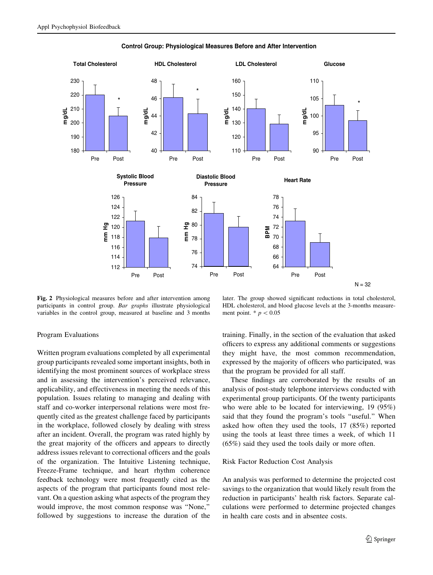<span id="page-14-0"></span>

#### **Control Group: Physiological Measures Before and After Intervention**

Fig. 2 Physiological measures before and after intervention among participants in control group. Bar graphs illustrate physiological variables in the control group, measured at baseline and 3 months

later. The group showed significant reductions in total cholesterol, HDL cholesterol, and blood glucose levels at the 3-months measurement point.  $* p < 0.05$ 

### Program Evaluations

Written program evaluations completed by all experimental group participants revealed some important insights, both in identifying the most prominent sources of workplace stress and in assessing the intervention's perceived relevance, applicability, and effectiveness in meeting the needs of this population. Issues relating to managing and dealing with staff and co-worker interpersonal relations were most frequently cited as the greatest challenge faced by participants in the workplace, followed closely by dealing with stress after an incident. Overall, the program was rated highly by the great majority of the officers and appears to directly address issues relevant to correctional officers and the goals of the organization. The Intuitive Listening technique, Freeze-Frame technique, and heart rhythm coherence feedback technology were most frequently cited as the aspects of the program that participants found most relevant. On a question asking what aspects of the program they would improve, the most common response was ''None,'' followed by suggestions to increase the duration of the training. Finally, in the section of the evaluation that asked officers to express any additional comments or suggestions they might have, the most common recommendation, expressed by the majority of officers who participated, was that the program be provided for all staff.

These findings are corroborated by the results of an analysis of post-study telephone interviews conducted with experimental group participants. Of the twenty participants who were able to be located for interviewing, 19 (95%) said that they found the program's tools ''useful.'' When asked how often they used the tools, 17 (85%) reported using the tools at least three times a week, of which 11 (65%) said they used the tools daily or more often.

### Risk Factor Reduction Cost Analysis

An analysis was performed to determine the projected cost savings to the organization that would likely result from the reduction in participants' health risk factors. Separate calculations were performed to determine projected changes in health care costs and in absentee costs.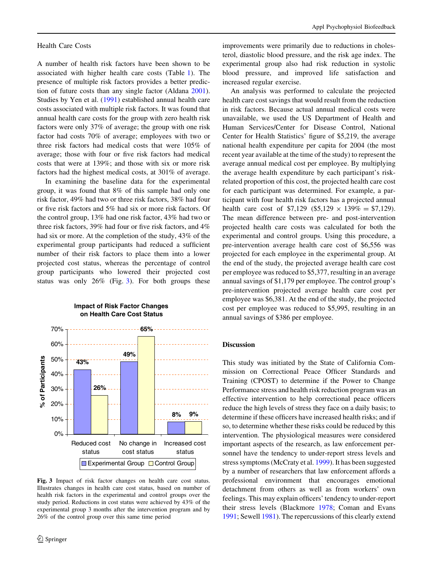<span id="page-15-0"></span>A number of health risk factors have been shown to be associated with higher health care costs (Table [1](#page-2-0)). The presence of multiple risk factors provides a better prediction of future costs than any single factor (Aldana [2001](#page-19-0)). Studies by Yen et al. ([1991\)](#page-21-0) established annual health care costs associated with multiple risk factors. It was found that annual health care costs for the group with zero health risk factors were only 37% of average; the group with one risk factor had costs 70% of average; employees with two or three risk factors had medical costs that were 105% of average; those with four or five risk factors had medical costs that were at 139%; and those with six or more risk factors had the highest medical costs, at 301% of average.

In examining the baseline data for the experimental group, it was found that 8% of this sample had only one risk factor, 49% had two or three risk factors, 38% had four or five risk factors and 5% had six or more risk factors. Of the control group, 13% had one risk factor, 43% had two or three risk factors, 39% had four or five risk factors, and 4% had six or more. At the completion of the study, 43% of the experimental group participants had reduced a sufficient number of their risk factors to place them into a lower projected cost status, whereas the percentage of control group participants who lowered their projected cost status was only 26% (Fig. 3). For both groups these



### **Impact of Risk Factor Changes on Health Care Cost Status**

Fig. 3 Impact of risk factor changes on health care cost status. Illustrates changes in health care cost status, based on number of health risk factors in the experimental and control groups over the study period. Reductions in cost status were achieved by 43% of the experimental group 3 months after the intervention program and by 26% of the control group over this same time period

improvements were primarily due to reductions in cholesterol, diastolic blood pressure, and the risk age index. The experimental group also had risk reduction in systolic blood pressure, and improved life satisfaction and increased regular exercise.

An analysis was performed to calculate the projected health care cost savings that would result from the reduction in risk factors. Because actual annual medical costs were unavailable, we used the US Department of Health and Human Services/Center for Disease Control, National Center for Health Statistics' figure of \$5,219, the average national health expenditure per capita for 2004 (the most recent year available at the time of the study) to represent the average annual medical cost per employee. By multiplying the average health expenditure by each participant's riskrelated proportion of this cost, the projected health care cost for each participant was determined. For example, a participant with four health risk factors has a projected annual health care cost of \$7,129 (\$5,129  $\times$  139% = \$7,129). The mean difference between pre- and post-intervention projected health care costs was calculated for both the experimental and control groups. Using this procedure, a pre-intervention average health care cost of \$6,556 was projected for each employee in the experimental group. At the end of the study, the projected average health care cost per employee was reduced to \$5,377, resulting in an average annual savings of \$1,179 per employee. The control group's pre-intervention projected average health care cost per employee was \$6,381. At the end of the study, the projected cost per employee was reduced to \$5,995, resulting in an annual savings of \$386 per employee.

### Discussion

This study was initiated by the State of California Commission on Correctional Peace Officer Standards and Training (CPOST) to determine if the Power to Change Performance stress and health risk reduction program was an effective intervention to help correctional peace officers reduce the high levels of stress they face on a daily basis; to determine if these officers have increased health risks; and if so, to determine whether these risks could be reduced by this intervention. The physiological measures were considered important aspects of the research, as law enforcement personnel have the tendency to under-report stress levels and stress symptoms (McCraty et al. [1999\)](#page-20-0). It has been suggested by a number of researchers that law enforcement affords a professional environment that encourages emotional detachment from others as well as from workers' own feelings. This may explain officers' tendency to under-report their stress levels (Blackmore [1978](#page-19-0); Coman and Evans [1991](#page-20-0); Sewell [1981](#page-20-0)). The repercussions of this clearly extend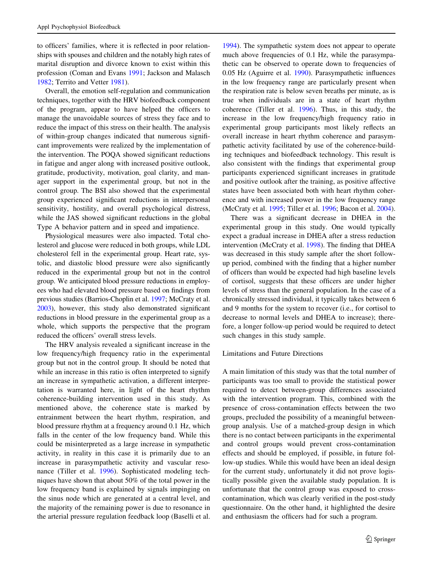to officers' families, where it is reflected in poor relationships with spouses and children and the notably high rates of marital disruption and divorce known to exist within this profession (Coman and Evans [1991;](#page-20-0) Jackson and Malasch [1982;](#page-20-0) Territo and Vetter [1981\)](#page-21-0).

Overall, the emotion self-regulation and communication techniques, together with the HRV biofeedback component of the program, appear to have helped the officers to manage the unavoidable sources of stress they face and to reduce the impact of this stress on their health. The analysis of within-group changes indicated that numerous significant improvements were realized by the implementation of the intervention. The POQA showed significant reductions in fatigue and anger along with increased positive outlook, gratitude, productivity, motivation, goal clarity, and manager support in the experimental group, but not in the control group. The BSI also showed that the experimental group experienced significant reductions in interpersonal sensitivity, hostility, and overall psychological distress, while the JAS showed significant reductions in the global Type A behavior pattern and in speed and impatience.

Physiological measures were also impacted. Total cholesterol and glucose were reduced in both groups, while LDL cholesterol fell in the experimental group. Heart rate, systolic, and diastolic blood pressure were also significantly reduced in the experimental group but not in the control group. We anticipated blood pressure reductions in employees who had elevated blood pressure based on findings from previous studies (Barrios-Choplin et al. [1997](#page-19-0); McCraty et al. [2003\)](#page-20-0), however, this study also demonstrated significant reductions in blood pressure in the experimental group as a whole, which supports the perspective that the program reduced the officers' overall stress levels.

The HRV analysis revealed a significant increase in the low frequency/high frequency ratio in the experimental group but not in the control group. It should be noted that while an increase in this ratio is often interpreted to signify an increase in sympathetic activation, a different interpretation is warranted here, in light of the heart rhythm coherence-building intervention used in this study. As mentioned above, the coherence state is marked by entrainment between the heart rhythm, respiration, and blood pressure rhythm at a frequency around 0.1 Hz, which falls in the center of the low frequency band. While this could be misinterpreted as a large increase in sympathetic activity, in reality in this case it is primarily due to an increase in parasympathetic activity and vascular resonance (Tiller et al. [1996\)](#page-21-0). Sophisticated modeling techniques have shown that about 50% of the total power in the low frequency band is explained by signals impinging on the sinus node which are generated at a central level, and the majority of the remaining power is due to resonance in the arterial pressure regulation feedback loop (Baselli et al.

[1994](#page-19-0)). The sympathetic system does not appear to operate much above frequencies of 0.1 Hz, while the parasympathetic can be observed to operate down to frequencies of 0.05 Hz (Aguirre et al. [1990](#page-19-0)). Parasympathetic influences in the low frequency range are particularly present when the respiration rate is below seven breaths per minute, as is true when individuals are in a state of heart rhythm coherence (Tiller et al. [1996\)](#page-21-0). Thus, in this study, the increase in the low frequency/high frequency ratio in experimental group participants most likely reflects an overall increase in heart rhythm coherence and parasympathetic activity facilitated by use of the coherence-building techniques and biofeedback technology. This result is also consistent with the findings that experimental group participants experienced significant increases in gratitude and positive outlook after the training, as positive affective states have been associated both with heart rhythm coherence and with increased power in the low frequency range (McCraty et al. [1995;](#page-20-0) Tiller et al. [1996;](#page-21-0) Bacon et al. [2004](#page-19-0)).

There was a significant decrease in DHEA in the experimental group in this study. One would typically expect a gradual increase in DHEA after a stress reduction intervention (McCraty et al. [1998](#page-20-0)). The finding that DHEA was decreased in this study sample after the short followup period, combined with the finding that a higher number of officers than would be expected had high baseline levels of cortisol, suggests that these officers are under higher levels of stress than the general population. In the case of a chronically stressed individual, it typically takes between 6 and 9 months for the system to recover (i.e., for cortisol to decrease to normal levels and DHEA to increase); therefore, a longer follow-up period would be required to detect such changes in this study sample.

#### Limitations and Future Directions

A main limitation of this study was that the total number of participants was too small to provide the statistical power required to detect between-group differences associated with the intervention program. This, combined with the presence of cross-contamination effects between the two groups, precluded the possibility of a meaningful betweengroup analysis. Use of a matched-group design in which there is no contact between participants in the experimental and control groups would prevent cross-contamination effects and should be employed, if possible, in future follow-up studies. While this would have been an ideal design for the current study, unfortunately it did not prove logistically possible given the available study population. It is unfortunate that the control group was exposed to crosscontamination, which was clearly verified in the post-study questionnaire. On the other hand, it highlighted the desire and enthusiasm the officers had for such a program.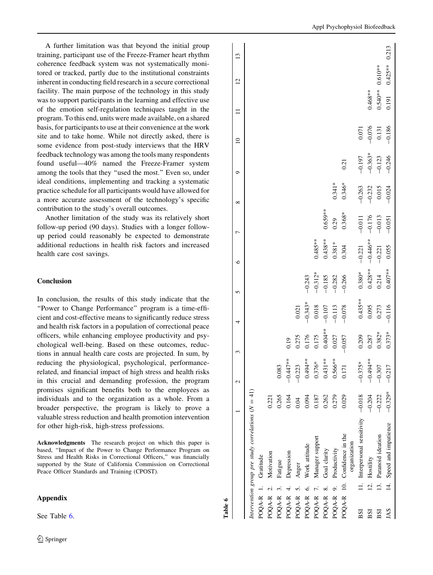<span id="page-17-0"></span>A further limitation was that beyond the initial group training, participant use of the Freeze-Framer heart rhythm coherence feedback system was not systematically monitored or tracked, partly due to the institutional constraints inherent in conducting field research in a secure correctional facility. The main purpose of the technology in this study was to support participants in the learning and effective use of the emotion self-regulation techniques taught in the program. To this end, units were made available, on a shared basis, for participants to use at their convenience at the work site and to take home. While not directly asked, there is some evidence from post-study interviews that the HRV feedback technology was among the tools many respondents found useful—40% named the Freeze-Framer system among the tools that they ''used the most.'' Even so, under ideal conditions, implementing and tracking a systematic practice schedule for all participants would have allowed for a more accurate assessment of the technology's specific contribution to the study's overall outcomes.

Another limitation of the study was its relatively short follow-up period (90 days). Studies with a longer followup period could reasonably be expected to demonstrate additional reductions in health risk factors and increased health care cost savings.

### Conclusion

In conclusion, the results of this study indicate that the ''Power to Change Performance'' program is a time-efficient and cost-effective means to significantly reduce stress and health risk factors in a population of correctional peace officers, while enhancing employee productivity and psychological well-being. Based on these outcomes, reductions in annual health care costs are projected. In sum, by reducing the physiological, psychological, performancerelated, and financial impact of high stress and health risks in this crucial and demanding profession, the program promises significant benefits both to the employees as individuals and to the organization as a whole. From a broader perspective, the program is likely to prove a valuable stress reduction and health promotion intervention for other high-risk, high-stress professions.

Acknowledgments The research project on which this paper is based, ''Impact of the Power to Change Performance Program on Stress and Health Risks in Correctional Officers," was financially supported by the State of California Commission on Correctional Peace Officer Standards and Training (CPOST).

Appendix

See Table 6.

|                       |                                                      |           | 2          | 3          |            | 5          | ∘          |           | $^{\circ}$ | ۰         | $\mathbf{r}$ |            | $\overline{2}$  | $\mathbf{13}$ |
|-----------------------|------------------------------------------------------|-----------|------------|------------|------------|------------|------------|-----------|------------|-----------|--------------|------------|-----------------|---------------|
|                       | Intervention group pre study correlations $(N = 41)$ |           |            |            |            |            |            |           |            |           |              |            |                 |               |
|                       | POQA-R 1. Gratitude                                  |           |            |            |            |            |            |           |            |           |              |            |                 |               |
|                       | POQA-R 2. Motivation                                 | 0.221     |            |            |            |            |            |           |            |           |              |            |                 |               |
| $POQA-R$ 3.           | Fatigue                                              | 0.265     | 0.083      |            |            |            |            |           |            |           |              |            |                 |               |
| $POQA-R 4$ .          | Depression                                           | 0.164     | $-0.447**$ | 0.19       |            |            |            |           |            |           |              |            |                 |               |
| $POQA-R 5.$           | Anger                                                | 0.04      | $-0.223$   | 0.275      | $0.021\,$  |            |            |           |            |           |              |            |                 |               |
| POQA-R <sub>6</sub> . | Work attitude                                        | 0.094     | $0.494**$  | 0.176      | $-0.343*$  | $-0.243$   |            |           |            |           |              |            |                 |               |
| $POQA-R 7.$           | Manager support                                      | 0.187     | $0.376*$   | 0.175      | $0.018\,$  | $-0.312*$  | $0.485***$ |           |            |           |              |            |                 |               |
|                       | POQA-R 8. Goal clarity                               | 0.262     | $0.431**$  | $0.404***$ | $-0.107$   | $-0.185$   | $0.438***$ | $0.659**$ |            |           |              |            |                 |               |
|                       | POQA-R 9. Productivity                               | 0.279     | $0.566***$ | 0.027      | $-0.113$   | $-0.282$   | $0.381*$   | 0.29      | $0.341*$   |           |              |            |                 |               |
|                       | POQA-R 10. Confidence in the<br>organization         | 0.029     | 0.171      | $-0.057$   | $-0.078$   | $-0.266$   | 0.304      | $0.368*$  | $0.346*$   | 0.21      |              |            |                 |               |
| BSI                   | 11. Interpersonal sensitivity -0.018                 |           | $-0.375*$  | 0.209      | $0.435***$ | $0.380*$   | $-0.221$   | $-0.011$  | $-0.263$   | $-0.197$  | 0.071        |            |                 |               |
| BSI                   | 12. Hostility                                        | $-0.204$  | $-0.494**$ | 0.287      | 0.095      | $0.428**$  | $-0.446**$ | $-0.176$  | $-0.232$   | $-0.363*$ | $-0.076$     | $0.468***$ |                 |               |
| BSI                   | 13. Paranoid ideation                                | $-0.222$  | $-0.307$   | $0.382*$   | 0.273      | 0.214      | $-0.221$   | $-0.013$  | 0.015      | $-0.123$  | 0.131        | $0.540***$ | $0.610**$       |               |
| IAS                   | 14. Speed and impatience                             | $-0.329*$ | $-0.217$   | $0.373*$   | $-0.116$   | $0.407***$ | 0.055      | $-0.051$  | $-0.024$   | $-0.246$  | $-0.186$     | 0.191      | $0.425**$ 0.213 |               |

Table 6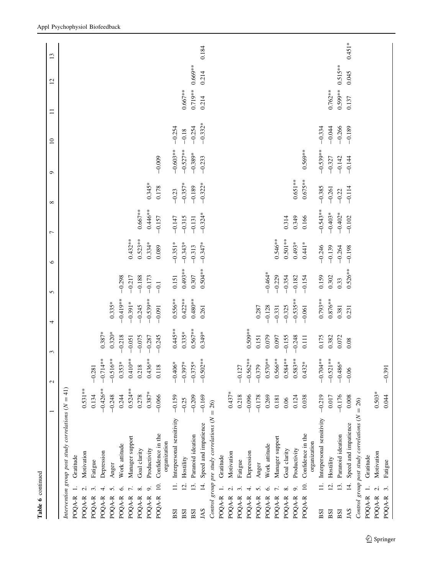| Table 6 continued |                                                        |             |              |            |             |            |           |                |            |             |                 |            |                |          |
|-------------------|--------------------------------------------------------|-------------|--------------|------------|-------------|------------|-----------|----------------|------------|-------------|-----------------|------------|----------------|----------|
|                   |                                                        |             | $\mathbf{c}$ | 3          | 4           | 5          | $\circ$   | $\overline{ }$ | $\infty$   | $\circ$     | $\overline{10}$ | $\Xi$      | $\overline{c}$ | 13       |
|                   | Intervention group post study correlations $(N = 41)$  |             |              |            |             |            |           |                |            |             |                 |            |                |          |
| POQA-R            | Gratitude                                              |             |              |            |             |            |           |                |            |             |                 |            |                |          |
| $\sim$<br>POQA-R  | Motivation                                             | $0.531***$  |              |            |             |            |           |                |            |             |                 |            |                |          |
| POQA-R            | Fatigue<br>2.                                          | 0.134       | $-0.281$     |            |             |            |           |                |            |             |                 |            |                |          |
| 4.<br>POQA-R      | Depression                                             | $-0.426***$ | $-0.714**$   | $0.387*$   |             |            |           |                |            |             |                 |            |                |          |
| POQA-R            | Anger<br>n                                             | $-0.248$    | $-0.516**$   | $0.320*$   | $0.335*$    |            |           |                |            |             |                 |            |                |          |
| POQA-R            | Work attitude<br>Ó.                                    | 0.244       | $0.353*$     | $-0.218$   | $-0.419**$  | $-0.298$   |           |                |            |             |                 |            |                |          |
| POQA-R            | Manager support<br>$\overline{r}$ .                    | $0.524***$  | $0.410**$    | $-0.051$   | $-0.391*$   | $-0.217$   | $0.432**$ |                |            |             |                 |            |                |          |
| POQA-R            | Goal clarity<br>$_{\infty}$                            | 0.278       | 0.218        | $-0.075$   | $-0.245$    | $-0.188$   | $0.523**$ | $0.667***$     |            |             |                 |            |                |          |
| POQA-R            | Productivity<br>ö                                      | $0.387*$    | $0.436**$    | $-0.287$   | $-0.539**$  | $-0.173$   | $0.334*$  | $0.446**$      | $0.345*$   |             |                 |            |                |          |
| POQA-R            | Confidence in the<br>organization<br>$\overline{10}$ . | $-0.066$    | 0.118        | $-0.245$   | $-0.091$    | $-0.1$     | 0.089     | $-0.157$       | 0.178      | $-0.009$    |                 |            |                |          |
| BSI               | Interpersonal sensitivity<br>$\equiv$                  | $-0.159$    | $-0.406*$    | $0.445***$ | $0.556***$  | 0.151      | $-0.351*$ | $-0.147$       | $-0.23$    | $-0.603***$ | $-0.254$        |            |                |          |
| BSI               | Hostility<br>$\vec{a}$ .                               | $-0.25$     | $-0.397*$    | $0.335*$   | $0.422**$   | $0.493***$ | $-0.343*$ | $-0.315$       | $-0.357*$  | $-0.527***$ | $-0.18$         | $0.667**$  |                |          |
| BSI               | Paranoid ideation<br>13.                               | $-0.209$    | $-0.375*$    | $0.567***$ | $0.480**$   | 0.307      | $-0.313$  | $-0.131$       | $-0.189$   | $-0.389*$   | $-0.254$        | 0.719**    | $0.669**$      |          |
| IAS               | Speed and impatience<br>$\overline{14}$ .              | $-0.169$    | $-0.502**$   | $0.349*$   | 0.261       | $0.504**$  | $-0.347*$ | $-0.324*$      | $-0.322*$  | $-0.233$    | $-0.332*$       | 0.214      | 0.214          | 0.184    |
|                   | Control group pre study correlations $(N = 26)$        |             |              |            |             |            |           |                |            |             |                 |            |                |          |
| POQA-R            | Gratitude<br>$\div$                                    |             |              |            |             |            |           |                |            |             |                 |            |                |          |
| $\sim$<br>POQA-R  | Motivation                                             | $0.437*$    |              |            |             |            |           |                |            |             |                 |            |                |          |
| POQA-R            | Fatigue<br>3.                                          | 0.218       | $-0.127$     |            |             |            |           |                |            |             |                 |            |                |          |
| POQA-R            | Depression<br>4.                                       | $-0.096$    | $-0.562**$   | $0.509**$  |             |            |           |                |            |             |                 |            |                |          |
| POQA-R            | Anger<br>n                                             | $-0.178$    | $-0.379$     | 0.151      | 0.287       |            |           |                |            |             |                 |            |                |          |
| POQA-R            | Work attitude<br>Ó                                     | 0.269       | $0.570**$    | 0.079      | $-0.128$    | $-0.464*$  |           |                |            |             |                 |            |                |          |
| POQA-R            | Manager support                                        | 0.181       | $0.566**$    | 0.097      | $-0.331$    | $-0.229$   | $0.546**$ |                |            |             |                 |            |                |          |
| POQA-R            | Goal clarity<br>∞ं                                     | 0.06        | $0.584***$   | $-0.155$   | $-0.325$    | $-0.354$   | $0.501**$ | 0.314          |            |             |                 |            |                |          |
| POQA-R            | Productivity<br>ö                                      | 0.124       | $0.583**$    | $-0.248$   | $-0.535***$ | $-0.182$   | $0.493*$  | 0.349          | $0.651**$  |             |                 |            |                |          |
| POQA-R            | Confidence in the<br>organization<br>$\overline{10}$ . | 0.038       | $0.432*$     | 0.111      | $-0.061$    | $-0.154$   | $0.441*$  | 0.166          | $0.675***$ | $0.569**$   |                 |            |                |          |
| BSI               | Interpersonal sensitivity<br>$\equiv$                  | $-0.219$    | $-0.704**$   | 0.175      | $0.793**$   | 0.159      | $-0.246$  | $-0.543**$     | $-0.385$   | $-0.539***$ | $-0.334$        |            |                |          |
| BSI               | Hostility<br>12.                                       | 0.017       | $-0.521**$   | 0.382      | $0.876**$   | 0.302      | $-0.139$  | $-0.403*$      | $-0.261$   | $-0.327$    | $-0.044$        | $0.762***$ |                |          |
| BSI               | Paranoid ideation<br>13.                               | $-0.176$    | $-0.486*$    | 0.072      | 0.381       | 0.33       | $-0.264$  | $-0.402*$      | $-0.22$    | $-0.142$    | $-0.266$        | $0.599**$  | $0.515***$     |          |
| JAS               | Speed and impatience<br>$\overline{14}$ .              | 0.008       | $-0.06$      | 0.08       | 0.231       | $0.526**$  | $-0.198$  | $-0.102$       | $-0.114$   | $-0.144$    | $-0.189$        | 0.137      | 0.045          | $0.451*$ |
|                   | Control group post study correlations $(N = 26)$       |             |              |            |             |            |           |                |            |             |                 |            |                |          |
| POQA-R            | Gratitude<br>$\div$                                    |             |              |            |             |            |           |                |            |             |                 |            |                |          |
| $\sim$<br>POQA-R  | Motivation                                             | $0.503*$    |              |            |             |            |           |                |            |             |                 |            |                |          |
| POQA-R            | Fatigue<br>$\ddot{\mathrm{c}}$                         | 0.044       | $-0.391$     |            |             |            |           |                |            |             |                 |            |                |          |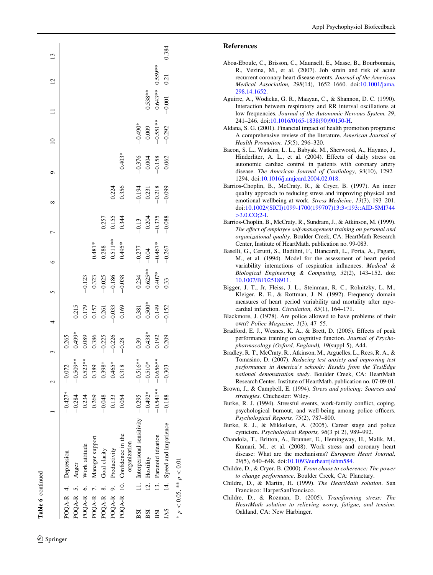<span id="page-19-0"></span>

| Table 6 continued |                                        |           |                             |                                             |                                                                 |                                                       |                                                           |                   |          |                                        |                     |            |              |              |
|-------------------|----------------------------------------|-----------|-----------------------------|---------------------------------------------|-----------------------------------------------------------------|-------------------------------------------------------|-----------------------------------------------------------|-------------------|----------|----------------------------------------|---------------------|------------|--------------|--------------|
|                   |                                        |           |                             | 3                                           | 4                                                               | 5                                                     | ७                                                         | ٢                 | ∞        | ٩                                      | $\overline{10}$     |            | $\mathbf{1}$ | $\mathbf{r}$ |
|                   | POQA-R 4. Depression                   | $-0.427*$ | $-0.072$                    | 0.265                                       |                                                                 |                                                       |                                                           |                   |          |                                        |                     |            |              |              |
| POQA-R 5. Anger   |                                        | $-0.284$  | $-0.509**$                  | $0.499*$                                    |                                                                 |                                                       |                                                           |                   |          |                                        |                     |            |              |              |
| $POQA-R 6.$       | Work attitude                          | 0.234     | $0.523**$                   | 0.089                                       |                                                                 |                                                       |                                                           |                   |          |                                        |                     |            |              |              |
| POQA-R 7.         | Manager support                        | 0.269     | 0.389                       |                                             | $0.215$<br>$0.179$<br>$0.157$<br>$0.261$<br>$-0.033$<br>$0.169$ | $-0.123$<br>0.323<br>$-0.025$<br>$-0.186$<br>$-0.186$ | $0.481*$                                                  |                   |          |                                        |                     |            |              |              |
|                   | POQA-R 8. Goal clarity                 | $-0.048$  |                             | $-0.386$<br>$-0.225$<br>$-0.236$<br>$-0.28$ |                                                                 |                                                       |                                                           | 0.257             |          |                                        |                     |            |              |              |
|                   | POQA-R 9. Productivity                 | 0.133     | $0.398*$<br>0.465*<br>0.318 |                                             |                                                                 |                                                       | $\begin{array}{c} 0.288 \\ 0.511** \\ 0.495* \end{array}$ | $0.155$<br>0.344  | 0.224    |                                        |                     |            |              |              |
|                   | POQA-R 10. Confidence in the           | 0.054     |                             |                                             |                                                                 |                                                       |                                                           |                   | 0.356    | $0.403*$                               |                     |            |              |              |
|                   | organization                           |           |                             |                                             |                                                                 |                                                       |                                                           |                   |          |                                        |                     |            |              |              |
| BSI               | 11. Interpersonal sensitivity $-0.295$ |           | $-0.516**$                  | 0.39                                        | 0.381                                                           | 0.234                                                 |                                                           | $-0.13$           | $-0.194$ |                                        | $-0.490*$           |            |              |              |
| BSI               | 12. Hostility                          | $-0.492*$ | $-0.510*$                   | $0.438*$                                    |                                                                 | $0.625***$                                            | $-0.277$<br>$-0.04$                                       | $0.204$<br>-0.375 | 0.231    | $-0.376$<br>0.004<br>$-0.158$<br>0.062 | $0.009$<br>-0.551** | $0.538***$ |              |              |
| BSI               | 13. Paranoid ideation                  |           | $-0.541***$ -0.656**        | 0.192                                       | $0.500*$<br>0.149                                               | $0.407*$                                              | $-0.467*$                                                 |                   | $-0.218$ |                                        |                     | $0.643**$  | $0.559***$   |              |
| JAS               | 14. Speed and impatience               | $-0.188$  | $-0.303$                    | 0.209                                       | $-0.152$                                                        | 0.33                                                  | $-0.267$                                                  | $-0.088$          | $-0.099$ |                                        | $-0.292$            | $-0.001$   | 0.21         | 0.384        |
|                   | * $p < 0.05$ , ** $p < 0.01$           |           |                             |                                             |                                                                 |                                                       |                                                           |                   |          |                                        |                     |            |              |              |

### Appl Psychophysiol Biofeedback

### References

- Aboa-Eboule, C., Brisson, C., Maunsell, E., Masse, B., Bourbonnais, R., Vezina, M., et al. (2007). Job strain and risk of acute recurrent coronary heart disease events. Journal of the American Medical Association, 298(14), 1652–1660. doi:[10.1001/jama.](http://dx.doi.org/10.1001/jama.298.14.1652) [298.14.1652](http://dx.doi.org/10.1001/jama.298.14.1652) .
- Aguirre, A., Wodicka, G. R., Maayan, C., & Shannon, D. C. (1990). Interaction between respiratory and RR interval oscillations at low frequencies. Journal of the Autonomic Nervous System, 29, 241–246. doi:[10.1016/0165-1838\(90\)90150-H](http://dx.doi.org/10.1016/0165-1838(90)90150-H) .
- Aldana, S. G. (2001). Financial impact of health promotion programs: A comprehensive review of the literature. American Journal of Health Promotion, 15(5), 296–320.
- Bacon, S. L., Watkins, L. L., Babyak, M., Sherwood, A., Hayano, J., Hinderliter, A. L., et al. (2004). Effects of daily stress on autonomic cardiac control in patients with coronary artery disease. The American Journal of Cardiology, 93(10), 1292– 1294. doi[:10.1016/j.amjcard.2004.02.018](http://dx.doi.org/10.1016/j.amjcard.2004.02.018) .
- Barrios-Choplin, B., McCraty, R., & Cryer, B. (1997). An inner quality approach to reducing stress and improving physical and emotional wellbeing at work. Stress Medicine, 13(3), 193–201. doi[:10.1002/\(SICI\)1099-1700\(199707\)13:3](http://dx.doi.org/10.1002/(SICI)1099-1700(199707)13:3%3c193::AID-SMI744%3e3.0.CO;2-I) \193::AID-SMI744  $>3.0$ .CO;2-I.
- Barrios-Choplin, B., McCraty, R., Sundram, J., & Atkinson, M. (1999). The effect of employee self-management training on personal and organizational quality. Boulder Creek, CA: HeartMath Research Center, Institute of HeartMath. publication no. 99-083.
- Baselli, G., Cerutti, S., Badilini, F., Biancardi, L., Porta, A., Pagani, M., et al. (1994). Model for the assessment of heart period variability interactions of respiration influences. Medical & Biological Engineering & Computing, 32(2), 143–152. doi: [10.1007/BF02518911](http://dx.doi.org/10.1007/BF02518911) .
- Bigger, J. T., Jr, Fleiss, J. L., Steinman, R. C., Rolnitzky, L. M., Kleiger, R. E., & Rottman, J. N. (1992). Frequency domain measures of heart period variability and mortality after myocardial infarction. Circulation, 85(1), 164–171.
- Blackmore, J. (1978). Are police allowed to have problems of their own? Police Magazine, 1(3), 47–55.
- Bradford, E. J., Wesnes, K. A., & Brett, D. (2005). Effects of peak performance training on cognitive function. Journal of Psychopharmacology (Oxford, England), 19(suppl 5), A44.
- Bradley, R. T., McCraty, R., Atkinson, M., Arguelles, L., Rees, R. A., & Tomasino, D. (2007). Reducing test anxiety and improving test performance in America's schools: Results from the TestEdge national demonstration study. Boulder Creek, CA: HeartMath Research Center, Institute of HeartMath. publication no. 07-09-01.
- Brown, J., & Campbell, E. (1994). Stress and policing: Sources and strategies. Chichester: Wiley.
- Burke, R. J. (1994). Stressful events, work-family conflict, coping, psychological burnout, and well-being among police officers. Psychological Reports, 75(2), 787–800.
- Burke, R. J., & Mikkelsen, A. (2005). Career stage and police cynicism. Psychological Reports, 96(3 pt 2), 989–992.
- Chandola, T., Britton, A., Brunner, E., Hemingway, H., Malik, M., Kumari, M., et al. (2008). Work stress and coronary heart disease: What are the mechanisms? European Heart Journal, 29(5), 640–648. doi[:10.1093/eurheartj/ehm584](http://dx.doi.org/10.1093/eurheartj/ehm584) .
- Childre, D., & Cryer, B. (2000). From chaos to coherence: The power to change performance. Boulder Creek, CA: Planetary.
- Childre, D., & Martin, H. (1999). The HeartMath solution. San Francisco: HarperSanFrancisco.
- Childre, D., & Rozman, D. (2005). Transforming stress: The HeartMath solution to relieving worry, fatigue, and tension . Oakland, CA: New Harbinger.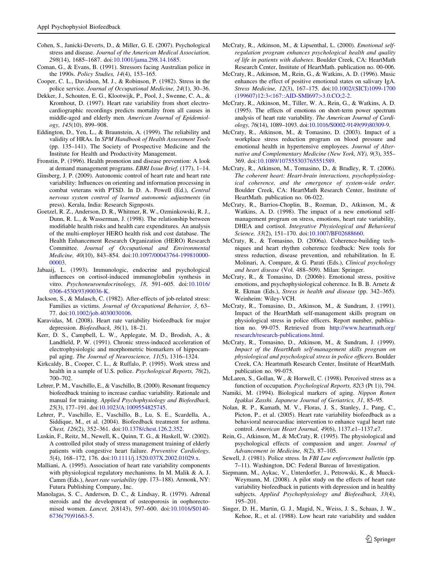- <span id="page-20-0"></span>Cohen, S., Janicki-Deverts, D., & Miller, G. E. (2007). Psychological stress and disease. Journal of the American Medical Association, 298(14), 1685–1687. doi[:10.1001/jama.298.14.1685](http://dx.doi.org/10.1001/jama.298.14.1685).
- Coman, G., & Evans, B. (1991). Stressors facing Australian police in the 1990s. Policy Studies, 14(4), 153–165.
- Cooper, C. L., Davidson, M. J., & Robinson, P. (1982). Stress in the police service. Journal of Occupational Medicine, 24(1), 30–36.
- Dekker, J., Schouten, E. G., Klootwijk, P., Pool, J., Swenne, C. A., & Kromhout, D. (1997). Heart rate variability from short electrocardiographic recordings predicts mortality from all causes in middle-aged and elderly men. American Journal of Epidemiology, 145(10), 899–908.
- Eddington, D., Yen, L., & Braunstein, A. (1999). The reliability and validity of HRAs. In SPM Handbook of Health Assessment Tools (pp. 135–141). The Society of Prospective Medicine and the Institute for Health and Productivity Management.
- Fronstin, P. (1996). Health promotion and disease prevention: A look at demand management programs. EBRI Issue Brief, (177), 1–14.
- Ginsberg, J. P. (2009). Autonomic control of heart rate and heart rate variability: Influences on orienting and information processing in combat veterans with PTSD. In D. A. Powell (Ed.), Central nervous system control of learned autonomic adjustments (in press). Kerala, India: Research Signposts.
- Goetzel, R. Z., Anderson, D. R., Whitmer, R. W., Ozminkowski, R. J., Dunn, R. L., & Wasserman, J. (1998). The relationship between modifiable health risks and health care expenditures. An analysis of the multi-employer HERO health risk and cost database. The Health Enhancement Research Organization (HERO) Research Committee. Journal of Occupational and Environmental Medicine, 40(10), 843–854. doi:[10.1097/00043764-199810000-](http://dx.doi.org/10.1097/00043764-199810000-00003) [00003](http://dx.doi.org/10.1097/00043764-199810000-00003).
- Jabaaij, L. (1993). Immunologic, endocrine and psychological influences on cortisol-induced immunoglobulin synthesis in vitro. Psychoneuroendocrinology, 18, 591–605. doi[:10.1016/](http://dx.doi.org/10.1016/0306-4530(93)90036-K) [0306-4530\(93\)90036-K.](http://dx.doi.org/10.1016/0306-4530(93)90036-K)
- Jackson, S., & Malasch, C. (1982). After-effects of job-related stress: Families as victims. Journal of Occupational Behavior, 3, 63– 77. doi:[10.1002/job.4030030106.](http://dx.doi.org/10.1002/job.4030030106)
- Karavidas, M. (2008). Heart rate variability biofeedback for major depression. Biofeedback, 36(1), 18–21.
- Kerr, D. S., Campbell, L. W., Applegate, M. D., Brodish, A., & Landfield, P. W. (1991). Chronic stress-induced acceleration of electrophysiologic and morphometric biomarkers of hippocampal aging. The Journal of Neuroscience, 11(5), 1316–1324.
- Kirkcaldy, B., Cooper, C. L., & Ruffalo, P. (1995). Work stress and health in a sample of U.S. police. Psychological Reports, 76(2), 700–702.
- Lehrer, P. M., Vaschillo, E., & Vaschillo, B. (2000). Resonant frequency biofeedback training to increase cardiac variability. Rationale and manual for training. Applied Psychophysiology and Biofeedback, 25(3), 177–191. doi[:10.1023/A:1009554825745.](http://dx.doi.org/10.1023/A:1009554825745)
- Lehrer, P., Vaschillo, E., Vaschillo, B., Lu, S. E., Scardella, A., Siddique, M., et al. (2004). Biofeedback treatment for asthma. Chest, 126(2), 352–361. doi:[10.1378/chest.126.2.352](http://dx.doi.org/10.1378/chest.126.2.352).
- Luskin, F., Reitz, M., Newell, K., Quinn, T. G., & Haskell, W. (2002). A controlled pilot study of stress management training of elderly patients with congestive heart failure. Preventive Cardiology, 5(4), 168–172, 176. doi:[10.1111/j.1520.037X.2002.01029.x](http://dx.doi.org/10.1111/j.1520.037X.2002.01029.x).
- Malliani, A. (1995). Association of heart rate variability components with physiological regulatory mechanisms. In M. Malik & A. J. Camm (Eds.), heart rate variability (pp. 173–188). Armonk, NY: Futura Publishing Company, Inc.
- Manolagas, S. C., Anderson, D. C., & Lindsay, R. (1979). Adrenal steroids and the development of osteoporosis in oophorectomised women. Lancet, 2(8143), 597–600. doi:[10.1016/S0140-](http://dx.doi.org/10.1016/S0140-6736(79)91663-5) [6736\(79\)91663-5](http://dx.doi.org/10.1016/S0140-6736(79)91663-5).
- McCraty, R., Atkinson, M., & Lipsenthal, L. (2000). Emotional selfregulation program enhances psychological health and quality of life in patients with diabetes. Boulder Creek, CA: HeartMath Research Center, Institute of HeartMath. publication no. 00-006.
- McCraty, R., Atkinson, M., Rein, G., & Watkins, A. D. (1996). Music enhances the effect of positive emotional states on salivary IgA. Stress Medicine, 12(3), 167–175. doi:[10.1002/\(SICI\)1099-1700](http://dx.doi.org/10.1002/(SICI)1099-1700(199607)12:3%3c167::AID-SMI697%3e3.0.CO;2-2) (199607)12:3<[167::AID-SMI697](http://dx.doi.org/10.1002/(SICI)1099-1700(199607)12:3%3c167::AID-SMI697%3e3.0.CO;2-2)>3.0.CO;2-2.
- McCraty, R., Atkinson, M., Tiller, W. A., Rein, G., & Watkins, A. D. (1995). The effects of emotions on short-term power spectrum analysis of heart rate variability. The American Journal of Cardiology, 76(14), 1089–1093. doi[:10.1016/S0002-9149\(99\)80309-9](http://dx.doi.org/10.1016/S0002-9149(99)80309-9).
- McCraty, R., Atkinson, M., & Tomasino, D. (2003). Impact of a workplace stress reduction program on blood pressure and emotional health in hypertensive employees. Journal of Alternative and Complementary Medicine (New York, NY), 9(3), 355– 369. doi[:10.1089/107555303765551589](http://dx.doi.org/10.1089/107555303765551589).
- McCraty, R., Atkinson, M., Tomasino, D., & Bradley, R. T. (2006). The coherent heart: Heart-brain interactions, psychophysiological coherence, and the emergence of system-wide order. Boulder Creek, CA: HeartMath Research Center, Institute of HeartMath. publication no. 06-022.
- McCraty, R., Barrios-Choplin, B., Rozman, D., Atkinson, M., & Watkins, A. D. (1998). The impact of a new emotional selfmanagement program on stress, emotions, heart rate variability, DHEA and cortisol. Integrative Physiological and Behavioral Science, 33(2), 151-170. doi[:10.1007/BF02688660](http://dx.doi.org/10.1007/BF02688660).
- McCraty, R., & Tomasino, D. (2006a). Coherence-building techniques and heart rhythm coherence feedback: New tools for stress reduction, disease prevention, and rehabilitation. In E. Molinari, A. Compare, & G. Parati (Eds.), Clinical psychology and heart disease (Vol. 488–509). Milan: Springer.
- McCraty, R., & Tomasino, D. (2006b). Emotional stress, positive emotions, and psychophysiological coherence. In B. B. Arnetz & R. Ekman (Eds.), Stress in health and disease (pp. 342–365). Weinheim: Wiley-VCH.
- McCraty, R., Tomasino, D., Atkinson, M., & Sundram, J. (1991). Impact of the HeartMath self-management skills program on physiological stress in police officers. Report number, publication no. 99-075. Retrieved from [http://www.heartmath.org/](http://www.heartmath.org/research/research-publications.html) [research/research-publications.html](http://www.heartmath.org/research/research-publications.html).
- McCraty, R., Tomasino, D., Atkinson, M., & Sundram, J. (1999). Impact of the HeartMath self-management skills program on physiological and psychological stress in police officers. Boulder Creek, CA: Heartmath Research Center, Institute of HeartMath. publication no. 99-075.
- McLaren, S., Gollan, W., & Horwell, C. (1998). Perceived stress as a function of occupation. Psychological Reports, 82(3 (Pt 1)), 794.
- Namiki, M. (1994). Biological markers of aging. Nippon Ronen Igakkai Zasshi. Japanese Journal of Geriatrics, 31, 85–95.
- Nolan, R. P., Kamath, M. V., Floras, J. S., Stanley, J., Pang, C., Picton, P., et al. (2005). Heart rate variability biofeedback as a behavioral neurocardiac intervention to enhance vagal heart rate control. American Heart Journal, 49(6), 1137.e1-1137.e7.
- Rein, G., Atkinson, M., & McCraty, R. (1995). The physiological and psychological effects of compassion and anger. Journal of Advancement in Medicine, 8(2), 87–105.
- Sewell, J. (1981). Police stress. In FBI Law enforcement bulletin (pp. 7–11). Washington, DC: Federal Bureau of Investigation.
- Siepmann, M., Aykac, V., Unterdorfer, J., Petrowski, K., & Mueck-Weymann, M. (2008). A pilot study on the effects of heart rate variability biofeedback in patients with depression and in healthy subjects. Applied Psychophysiology and Biofeedback, 33(4), 195–201.
- Singer, D. H., Martin, G. J., Magid, N., Weiss, J. S., Schaas, J. W., Kehoe, R., et al. (1988). Low heart rate variability and sudden